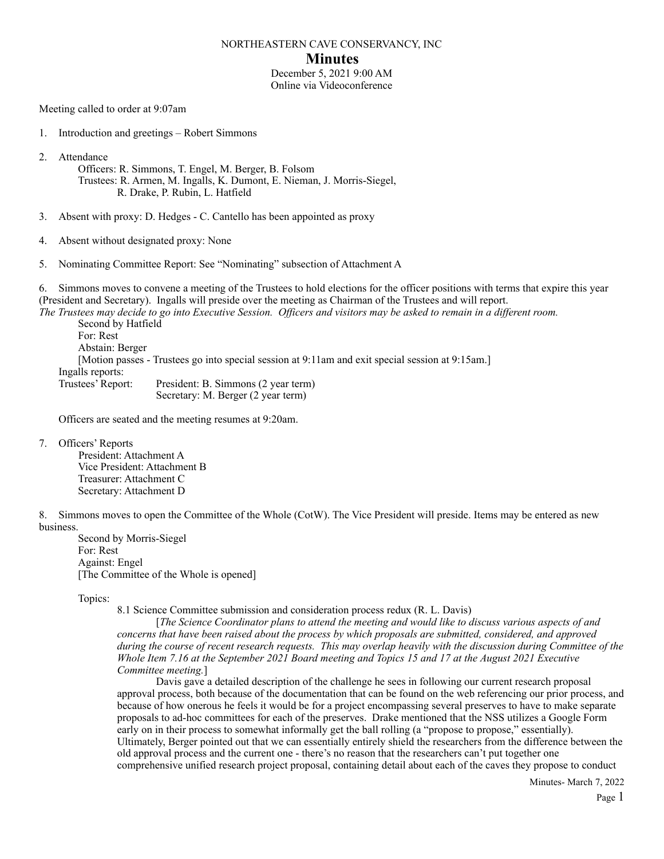### NORTHEASTERN CAVE CONSERVANCY, INC

### **Minutes**

December 5, 2021 9:00 AM Online via Videoconference

Meeting called to order at 9:07am

1. Introduction and greetings – Robert Simmons

2. Attendance

 Officers: R. Simmons, T. Engel, M. Berger, B. Folsom Trustees: R. Armen, M. Ingalls, K. Dumont, E. Nieman, J. Morris-Siegel, R. Drake, P. Rubin, L. Hatfield

- 3. Absent with proxy: D. Hedges C. Cantello has been appointed as proxy
- 4. Absent without designated proxy: None
- 5. Nominating Committee Report: See "Nominating" subsection of Attachment A

6. Simmons moves to convene a meeting of the Trustees to hold elections for the officer positions with terms that expire this year (President and Secretary). Ingalls will preside over the meeting as Chairman of the Trustees and will report.

*The Trustees may decide to go into Executive Session. Officers and visitors may be asked to remain in a different room.* Second by Hatfield For: Rest Abstain: Berger [Motion passes - Trustees go into special session at 9:11am and exit special session at 9:15am.] Ingalls reports:<br>Trustees' Report: President: B. Simmons (2 year term) Secretary: M. Berger (2 year term)

Officers are seated and the meeting resumes at 9:20am.

7. Officers' Reports

 President: Attachment A Vice President: Attachment B Treasurer: Attachment C Secretary: Attachment D

8. Simmons moves to open the Committee of the Whole (CotW). The Vice President will preside. Items may be entered as new business.

 Second by Morris-Siegel For: Rest Against: Engel [The Committee of the Whole is opened]

Topics:

8.1 Science Committee submission and consideration process redux (R. L. Davis)

 [*The Science Coordinator plans to attend the meeting and would like to discuss various aspects of and concerns that have been raised about the process by which proposals are submitted, considered, and approved during the course of recent research requests. This may overlap heavily with the discussion during Committee of the Whole Item 7.16 at the September 2021 Board meeting and Topics 15 and 17 at the August 2021 Executive Committee meeting.*]

 Davis gave a detailed description of the challenge he sees in following our current research proposal approval process, both because of the documentation that can be found on the web referencing our prior process, and because of how onerous he feels it would be for a project encompassing several preserves to have to make separate proposals to ad-hoc committees for each of the preserves. Drake mentioned that the NSS utilizes a Google Form early on in their process to somewhat informally get the ball rolling (a "propose to propose," essentially). Ultimately, Berger pointed out that we can essentially entirely shield the researchers from the difference between the old approval process and the current one - there's no reason that the researchers can't put together one comprehensive unified research project proposal, containing detail about each of the caves they propose to conduct

Minutes- March 7, 2022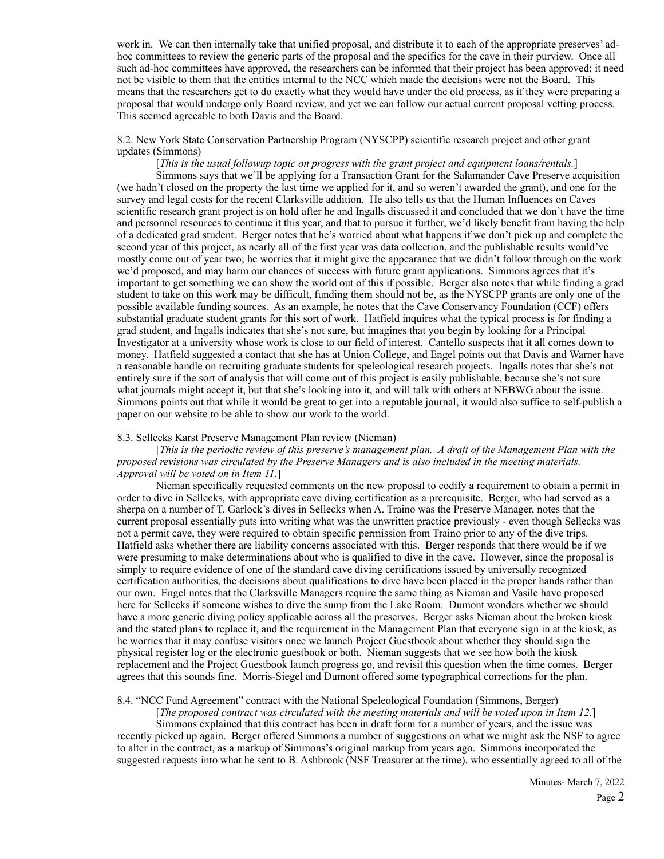work in. We can then internally take that unified proposal, and distribute it to each of the appropriate preserves' adhoc committees to review the generic parts of the proposal and the specifics for the cave in their purview. Once all such ad-hoc committees have approved, the researchers can be informed that their project has been approved; it need not be visible to them that the entities internal to the NCC which made the decisions were not the Board. This means that the researchers get to do exactly what they would have under the old process, as if they were preparing a proposal that would undergo only Board review, and yet we can follow our actual current proposal vetting process. This seemed agreeable to both Davis and the Board.

8.2. New York State Conservation Partnership Program (NYSCPP) scientific research project and other grant updates (Simmons)

[*This is the usual followup topic on progress with the grant project and equipment loans/rentals.*]

 Simmons says that we'll be applying for a Transaction Grant for the Salamander Cave Preserve acquisition (we hadn't closed on the property the last time we applied for it, and so weren't awarded the grant), and one for the survey and legal costs for the recent Clarksville addition. He also tells us that the Human Influences on Caves scientific research grant project is on hold after he and Ingalls discussed it and concluded that we don't have the time and personnel resources to continue it this year, and that to pursue it further, we'd likely benefit from having the help of a dedicated grad student. Berger notes that he's worried about what happens if we don't pick up and complete the second year of this project, as nearly all of the first year was data collection, and the publishable results would've mostly come out of year two; he worries that it might give the appearance that we didn't follow through on the work we'd proposed, and may harm our chances of success with future grant applications. Simmons agrees that it's important to get something we can show the world out of this if possible. Berger also notes that while finding a grad student to take on this work may be difficult, funding them should not be, as the NYSCPP grants are only one of the possible available funding sources. As an example, he notes that the Cave Conservancy Foundation (CCF) offers substantial graduate student grants for this sort of work. Hatfield inquires what the typical process is for finding a grad student, and Ingalls indicates that she's not sure, but imagines that you begin by looking for a Principal Investigator at a university whose work is close to our field of interest. Cantello suspects that it all comes down to money. Hatfield suggested a contact that she has at Union College, and Engel points out that Davis and Warner have a reasonable handle on recruiting graduate students for speleological research projects. Ingalls notes that she's not entirely sure if the sort of analysis that will come out of this project is easily publishable, because she's not sure what journals might accept it, but that she's looking into it, and will talk with others at NEBWG about the issue. Simmons points out that while it would be great to get into a reputable journal, it would also suffice to self-publish a paper on our website to be able to show our work to the world.

#### 8.3. Sellecks Karst Preserve Management Plan review (Nieman)

 [*This is the periodic review of this preserve's management plan. A draft of the Management Plan with the proposed revisions was circulated by the Preserve Managers and is also included in the meeting materials. Approval will be voted on in Item 11.*]

 Nieman specifically requested comments on the new proposal to codify a requirement to obtain a permit in order to dive in Sellecks, with appropriate cave diving certification as a prerequisite. Berger, who had served as a sherpa on a number of T. Garlock's dives in Sellecks when A. Traino was the Preserve Manager, notes that the current proposal essentially puts into writing what was the unwritten practice previously - even though Sellecks was not a permit cave, they were required to obtain specific permission from Traino prior to any of the dive trips. Hatfield asks whether there are liability concerns associated with this. Berger responds that there would be if we were presuming to make determinations about who is qualified to dive in the cave. However, since the proposal is simply to require evidence of one of the standard cave diving certifications issued by universally recognized certification authorities, the decisions about qualifications to dive have been placed in the proper hands rather than our own. Engel notes that the Clarksville Managers require the same thing as Nieman and Vasile have proposed here for Sellecks if someone wishes to dive the sump from the Lake Room. Dumont wonders whether we should have a more generic diving policy applicable across all the preserves. Berger asks Nieman about the broken kiosk and the stated plans to replace it, and the requirement in the Management Plan that everyone sign in at the kiosk, as he worries that it may confuse visitors once we launch Project Guestbook about whether they should sign the physical register log or the electronic guestbook or both. Nieman suggests that we see how both the kiosk replacement and the Project Guestbook launch progress go, and revisit this question when the time comes. Berger agrees that this sounds fine. Morris-Siegel and Dumont offered some typographical corrections for the plan.

8.4. "NCC Fund Agreement" contract with the National Speleological Foundation (Simmons, Berger)

[*The proposed contract was circulated with the meeting materials and will be voted upon in Item 12.*]

 Simmons explained that this contract has been in draft form for a number of years, and the issue was recently picked up again. Berger offered Simmons a number of suggestions on what we might ask the NSF to agree to alter in the contract, as a markup of Simmons's original markup from years ago. Simmons incorporated the suggested requests into what he sent to B. Ashbrook (NSF Treasurer at the time), who essentially agreed to all of the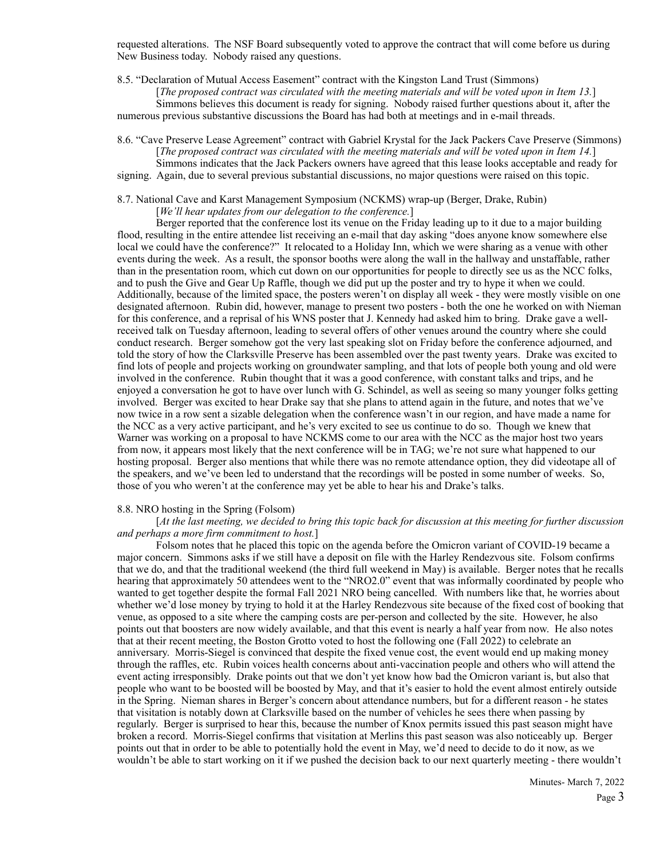requested alterations. The NSF Board subsequently voted to approve the contract that will come before us during New Business today. Nobody raised any questions.

8.5. "Declaration of Mutual Access Easement" contract with the Kingston Land Trust (Simmons)

 [*The proposed contract was circulated with the meeting materials and will be voted upon in Item 13.*] Simmons believes this document is ready for signing. Nobody raised further questions about it, after the numerous previous substantive discussions the Board has had both at meetings and in e-mail threads.

8.6. "Cave Preserve Lease Agreement" contract with Gabriel Krystal for the Jack Packers Cave Preserve (Simmons)

- [*The proposed contract was circulated with the meeting materials and will be voted upon in Item 14.*]
	- Simmons indicates that the Jack Packers owners have agreed that this lease looks acceptable and ready for
- signing. Again, due to several previous substantial discussions, no major questions were raised on this topic.

8.7. National Cave and Karst Management Symposium (NCKMS) wrap-up (Berger, Drake, Rubin)

[*We'll hear updates from our delegation to the conference.*]

 Berger reported that the conference lost its venue on the Friday leading up to it due to a major building flood, resulting in the entire attendee list receiving an e-mail that day asking "does anyone know somewhere else local we could have the conference?" It relocated to a Holiday Inn, which we were sharing as a venue with other events during the week. As a result, the sponsor booths were along the wall in the hallway and unstaffable, rather than in the presentation room, which cut down on our opportunities for people to directly see us as the NCC folks, and to push the Give and Gear Up Raffle, though we did put up the poster and try to hype it when we could. Additionally, because of the limited space, the posters weren't on display all week - they were mostly visible on one designated afternoon. Rubin did, however, manage to present two posters - both the one he worked on with Nieman for this conference, and a reprisal of his WNS poster that J. Kennedy had asked him to bring. Drake gave a wellreceived talk on Tuesday afternoon, leading to several offers of other venues around the country where she could conduct research. Berger somehow got the very last speaking slot on Friday before the conference adjourned, and told the story of how the Clarksville Preserve has been assembled over the past twenty years. Drake was excited to find lots of people and projects working on groundwater sampling, and that lots of people both young and old were involved in the conference. Rubin thought that it was a good conference, with constant talks and trips, and he enjoyed a conversation he got to have over lunch with G. Schindel, as well as seeing so many younger folks getting involved. Berger was excited to hear Drake say that she plans to attend again in the future, and notes that we've now twice in a row sent a sizable delegation when the conference wasn't in our region, and have made a name for the NCC as a very active participant, and he's very excited to see us continue to do so. Though we knew that Warner was working on a proposal to have NCKMS come to our area with the NCC as the major host two years from now, it appears most likely that the next conference will be in TAG; we're not sure what happened to our hosting proposal. Berger also mentions that while there was no remote attendance option, they did videotape all of the speakers, and we've been led to understand that the recordings will be posted in some number of weeks. So, those of you who weren't at the conference may yet be able to hear his and Drake's talks.

### 8.8. NRO hosting in the Spring (Folsom)

### [*At the last meeting, we decided to bring this topic back for discussion at this meeting for further discussion and perhaps a more firm commitment to host.*]

 Folsom notes that he placed this topic on the agenda before the Omicron variant of COVID-19 became a major concern. Simmons asks if we still have a deposit on file with the Harley Rendezvous site. Folsom confirms that we do, and that the traditional weekend (the third full weekend in May) is available. Berger notes that he recalls hearing that approximately 50 attendees went to the "NRO2.0" event that was informally coordinated by people who wanted to get together despite the formal Fall 2021 NRO being cancelled. With numbers like that, he worries about whether we'd lose money by trying to hold it at the Harley Rendezvous site because of the fixed cost of booking that venue, as opposed to a site where the camping costs are per-person and collected by the site. However, he also points out that boosters are now widely available, and that this event is nearly a half year from now. He also notes that at their recent meeting, the Boston Grotto voted to host the following one (Fall 2022) to celebrate an anniversary. Morris-Siegel is convinced that despite the fixed venue cost, the event would end up making money through the raffles, etc. Rubin voices health concerns about anti-vaccination people and others who will attend the event acting irresponsibly. Drake points out that we don't yet know how bad the Omicron variant is, but also that people who want to be boosted will be boosted by May, and that it's easier to hold the event almost entirely outside in the Spring. Nieman shares in Berger's concern about attendance numbers, but for a different reason - he states that visitation is notably down at Clarksville based on the number of vehicles he sees there when passing by regularly. Berger is surprised to hear this, because the number of Knox permits issued this past season might have broken a record. Morris-Siegel confirms that visitation at Merlins this past season was also noticeably up. Berger points out that in order to be able to potentially hold the event in May, we'd need to decide to do it now, as we wouldn't be able to start working on it if we pushed the decision back to our next quarterly meeting - there wouldn't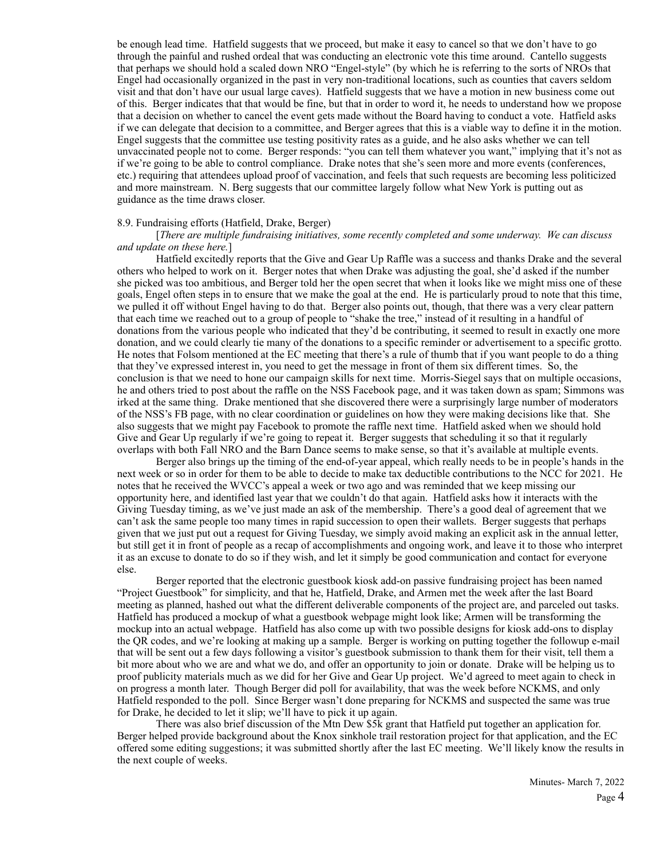be enough lead time. Hatfield suggests that we proceed, but make it easy to cancel so that we don't have to go through the painful and rushed ordeal that was conducting an electronic vote this time around. Cantello suggests that perhaps we should hold a scaled down NRO "Engel-style" (by which he is referring to the sorts of NROs that Engel had occasionally organized in the past in very non-traditional locations, such as counties that cavers seldom visit and that don't have our usual large caves). Hatfield suggests that we have a motion in new business come out of this. Berger indicates that that would be fine, but that in order to word it, he needs to understand how we propose that a decision on whether to cancel the event gets made without the Board having to conduct a vote. Hatfield asks if we can delegate that decision to a committee, and Berger agrees that this is a viable way to define it in the motion. Engel suggests that the committee use testing positivity rates as a guide, and he also asks whether we can tell unvaccinated people not to come. Berger responds: "you can tell them whatever you want," implying that it's not as if we're going to be able to control compliance. Drake notes that she's seen more and more events (conferences, etc.) requiring that attendees upload proof of vaccination, and feels that such requests are becoming less politicized and more mainstream. N. Berg suggests that our committee largely follow what New York is putting out as guidance as the time draws closer.

#### 8.9. Fundraising efforts (Hatfield, Drake, Berger)

### [*There are multiple fundraising initiatives, some recently completed and some underway. We can discuss and update on these here.*]

 Hatfield excitedly reports that the Give and Gear Up Raffle was a success and thanks Drake and the several others who helped to work on it. Berger notes that when Drake was adjusting the goal, she'd asked if the number she picked was too ambitious, and Berger told her the open secret that when it looks like we might miss one of these goals, Engel often steps in to ensure that we make the goal at the end. He is particularly proud to note that this time, we pulled it off without Engel having to do that. Berger also points out, though, that there was a very clear pattern that each time we reached out to a group of people to "shake the tree," instead of it resulting in a handful of donations from the various people who indicated that they'd be contributing, it seemed to result in exactly one more donation, and we could clearly tie many of the donations to a specific reminder or advertisement to a specific grotto. He notes that Folsom mentioned at the EC meeting that there's a rule of thumb that if you want people to do a thing that they've expressed interest in, you need to get the message in front of them six different times. So, the conclusion is that we need to hone our campaign skills for next time. Morris-Siegel says that on multiple occasions, he and others tried to post about the raffle on the NSS Facebook page, and it was taken down as spam; Simmons was irked at the same thing. Drake mentioned that she discovered there were a surprisingly large number of moderators of the NSS's FB page, with no clear coordination or guidelines on how they were making decisions like that. She also suggests that we might pay Facebook to promote the raffle next time. Hatfield asked when we should hold Give and Gear Up regularly if we're going to repeat it. Berger suggests that scheduling it so that it regularly overlaps with both Fall NRO and the Barn Dance seems to make sense, so that it's available at multiple events.

 Berger also brings up the timing of the end-of-year appeal, which really needs to be in people's hands in the next week or so in order for them to be able to decide to make tax deductible contributions to the NCC for 2021. He notes that he received the WVCC's appeal a week or two ago and was reminded that we keep missing our opportunity here, and identified last year that we couldn't do that again. Hatfield asks how it interacts with the Giving Tuesday timing, as we've just made an ask of the membership. There's a good deal of agreement that we can't ask the same people too many times in rapid succession to open their wallets. Berger suggests that perhaps given that we just put out a request for Giving Tuesday, we simply avoid making an explicit ask in the annual letter, but still get it in front of people as a recap of accomplishments and ongoing work, and leave it to those who interpret it as an excuse to donate to do so if they wish, and let it simply be good communication and contact for everyone else.

 Berger reported that the electronic guestbook kiosk add-on passive fundraising project has been named "Project Guestbook" for simplicity, and that he, Hatfield, Drake, and Armen met the week after the last Board meeting as planned, hashed out what the different deliverable components of the project are, and parceled out tasks. Hatfield has produced a mockup of what a guestbook webpage might look like; Armen will be transforming the mockup into an actual webpage. Hatfield has also come up with two possible designs for kiosk add-ons to display the QR codes, and we're looking at making up a sample. Berger is working on putting together the followup e-mail that will be sent out a few days following a visitor's guestbook submission to thank them for their visit, tell them a bit more about who we are and what we do, and offer an opportunity to join or donate. Drake will be helping us to proof publicity materials much as we did for her Give and Gear Up project. We'd agreed to meet again to check in on progress a month later. Though Berger did poll for availability, that was the week before NCKMS, and only Hatfield responded to the poll. Since Berger wasn't done preparing for NCKMS and suspected the same was true for Drake, he decided to let it slip; we'll have to pick it up again.

 There was also brief discussion of the Mtn Dew \$5k grant that Hatfield put together an application for. Berger helped provide background about the Knox sinkhole trail restoration project for that application, and the EC offered some editing suggestions; it was submitted shortly after the last EC meeting. We'll likely know the results in the next couple of weeks.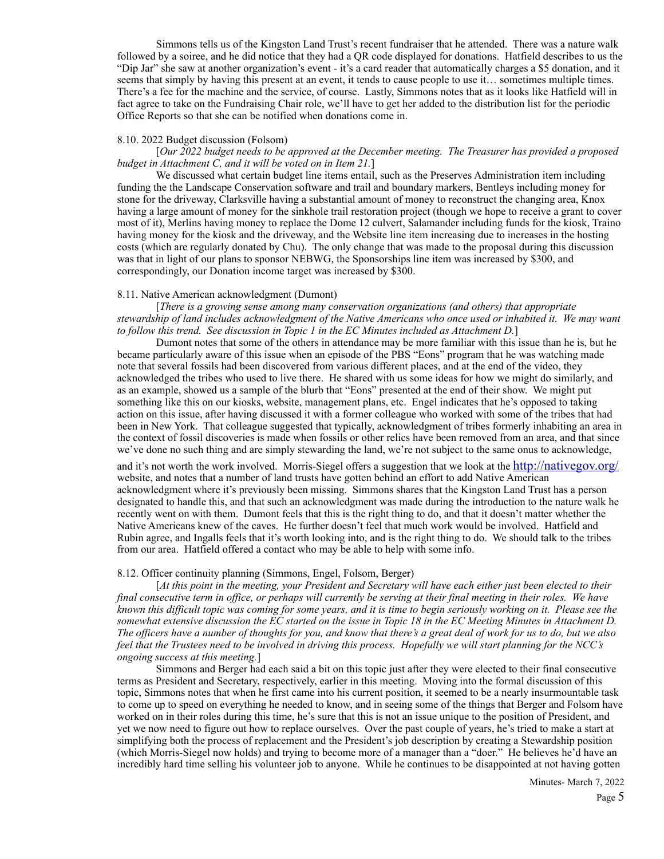Simmons tells us of the Kingston Land Trust's recent fundraiser that he attended. There was a nature walk followed by a soiree, and he did notice that they had a QR code displayed for donations. Hatfield describes to us the "Dip Jar" she saw at another organization's event - it's a card reader that automatically charges a \$5 donation, and it seems that simply by having this present at an event, it tends to cause people to use it… sometimes multiple times. There's a fee for the machine and the service, of course. Lastly, Simmons notes that as it looks like Hatfield will in fact agree to take on the Fundraising Chair role, we'll have to get her added to the distribution list for the periodic Office Reports so that she can be notified when donations come in.

#### 8.10. 2022 Budget discussion (Folsom)

 [*Our 2022 budget needs to be approved at the December meeting. The Treasurer has provided a proposed budget in Attachment C, and it will be voted on in Item 21.*]

 We discussed what certain budget line items entail, such as the Preserves Administration item including funding the the Landscape Conservation software and trail and boundary markers, Bentleys including money for stone for the driveway, Clarksville having a substantial amount of money to reconstruct the changing area, Knox having a large amount of money for the sinkhole trail restoration project (though we hope to receive a grant to cover most of it), Merlins having money to replace the Dome 12 culvert, Salamander including funds for the kiosk, Traino having money for the kiosk and the driveway, and the Website line item increasing due to increases in the hosting costs (which are regularly donated by Chu). The only change that was made to the proposal during this discussion was that in light of our plans to sponsor NEBWG, the Sponsorships line item was increased by \$300, and correspondingly, our Donation income target was increased by \$300.

#### 8.11. Native American acknowledgment (Dumont)

 [*There is a growing sense among many conservation organizations (and others) that appropriate stewardship of land includes acknowledgment of the Native Americans who once used or inhabited it. We may want to follow this trend. See discussion in Topic 1 in the EC Minutes included as Attachment D.*]

 Dumont notes that some of the others in attendance may be more familiar with this issue than he is, but he became particularly aware of this issue when an episode of the PBS "Eons" program that he was watching made note that several fossils had been discovered from various different places, and at the end of the video, they acknowledged the tribes who used to live there. He shared with us some ideas for how we might do similarly, and as an example, showed us a sample of the blurb that "Eons" presented at the end of their show. We might put something like this on our kiosks, website, management plans, etc. Engel indicates that he's opposed to taking action on this issue, after having discussed it with a former colleague who worked with some of the tribes that had been in New York. That colleague suggested that typically, acknowledgment of tribes formerly inhabiting an area in the context of fossil discoveries is made when fossils or other relics have been removed from an area, and that since we've done no such thing and are simply stewarding the land, we're not subject to the same onus to acknowledge,

and it's not worth the work involved. Morris-Siegel offers a suggestion that we look at the<http://nativegov.org/> website, and notes that a number of land trusts have gotten behind an effort to add Native American acknowledgment where it's previously been missing. Simmons shares that the Kingston Land Trust has a person designated to handle this, and that such an acknowledgment was made during the introduction to the nature walk he recently went on with them. Dumont feels that this is the right thing to do, and that it doesn't matter whether the Native Americans knew of the caves. He further doesn't feel that much work would be involved. Hatfield and Rubin agree, and Ingalls feels that it's worth looking into, and is the right thing to do. We should talk to the tribes from our area. Hatfield offered a contact who may be able to help with some info.

#### 8.12. Officer continuity planning (Simmons, Engel, Folsom, Berger)

 [*At this point in the meeting, your President and Secretary will have each either just been elected to their final consecutive term in office, or perhaps will currently be serving at their final meeting in their roles. We have known this difficult topic was coming for some years, and it is time to begin seriously working on it. Please see the somewhat extensive discussion the EC started on the issue in Topic 18 in the EC Meeting Minutes in Attachment D. The officers have a number of thoughts for you, and know that there's a great deal of work for us to do, but we also feel that the Trustees need to be involved in driving this process. Hopefully we will start planning for the NCC's ongoing success at this meeting.*]

 Simmons and Berger had each said a bit on this topic just after they were elected to their final consecutive terms as President and Secretary, respectively, earlier in this meeting. Moving into the formal discussion of this topic, Simmons notes that when he first came into his current position, it seemed to be a nearly insurmountable task to come up to speed on everything he needed to know, and in seeing some of the things that Berger and Folsom have worked on in their roles during this time, he's sure that this is not an issue unique to the position of President, and yet we now need to figure out how to replace ourselves. Over the past couple of years, he's tried to make a start at simplifying both the process of replacement and the President's job description by creating a Stewardship position (which Morris-Siegel now holds) and trying to become more of a manager than a "doer." He believes he'd have an incredibly hard time selling his volunteer job to anyone. While he continues to be disappointed at not having gotten

Minutes- March 7, 2022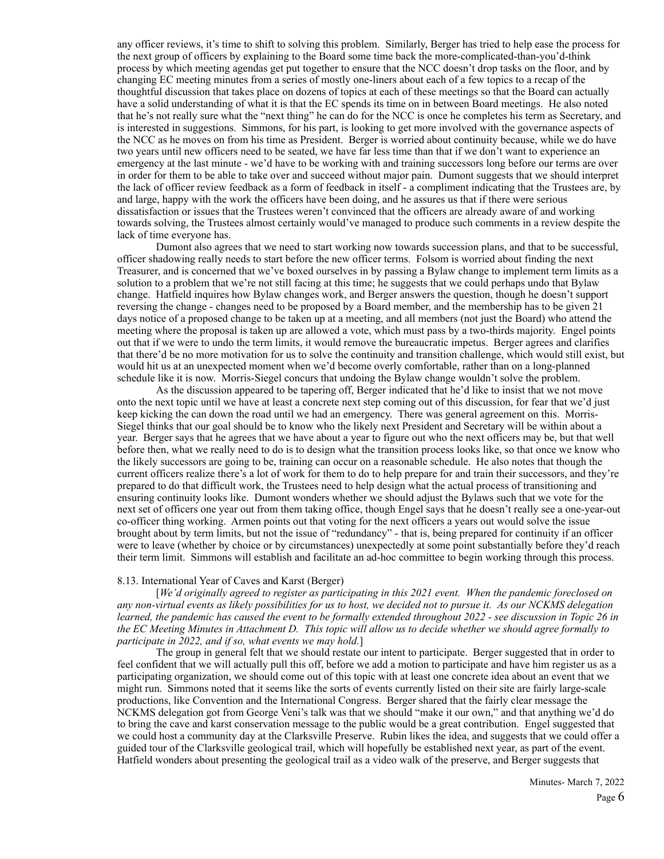any officer reviews, it's time to shift to solving this problem. Similarly, Berger has tried to help ease the process for the next group of officers by explaining to the Board some time back the more-complicated-than-you'd-think process by which meeting agendas get put together to ensure that the NCC doesn't drop tasks on the floor, and by changing EC meeting minutes from a series of mostly one-liners about each of a few topics to a recap of the thoughtful discussion that takes place on dozens of topics at each of these meetings so that the Board can actually have a solid understanding of what it is that the EC spends its time on in between Board meetings. He also noted that he's not really sure what the "next thing" he can do for the NCC is once he completes his term as Secretary, and is interested in suggestions. Simmons, for his part, is looking to get more involved with the governance aspects of the NCC as he moves on from his time as President. Berger is worried about continuity because, while we do have two years until new officers need to be seated, we have far less time than that if we don't want to experience an emergency at the last minute - we'd have to be working with and training successors long before our terms are over in order for them to be able to take over and succeed without major pain. Dumont suggests that we should interpret the lack of officer review feedback as a form of feedback in itself - a compliment indicating that the Trustees are, by and large, happy with the work the officers have been doing, and he assures us that if there were serious dissatisfaction or issues that the Trustees weren't convinced that the officers are already aware of and working towards solving, the Trustees almost certainly would've managed to produce such comments in a review despite the lack of time everyone has.

 Dumont also agrees that we need to start working now towards succession plans, and that to be successful, officer shadowing really needs to start before the new officer terms. Folsom is worried about finding the next Treasurer, and is concerned that we've boxed ourselves in by passing a Bylaw change to implement term limits as a solution to a problem that we're not still facing at this time; he suggests that we could perhaps undo that Bylaw change. Hatfield inquires how Bylaw changes work, and Berger answers the question, though he doesn't support reversing the change - changes need to be proposed by a Board member, and the membership has to be given 21 days notice of a proposed change to be taken up at a meeting, and all members (not just the Board) who attend the meeting where the proposal is taken up are allowed a vote, which must pass by a two-thirds majority. Engel points out that if we were to undo the term limits, it would remove the bureaucratic impetus. Berger agrees and clarifies that there'd be no more motivation for us to solve the continuity and transition challenge, which would still exist, but would hit us at an unexpected moment when we'd become overly comfortable, rather than on a long-planned schedule like it is now. Morris-Siegel concurs that undoing the Bylaw change wouldn't solve the problem.

 As the discussion appeared to be tapering off, Berger indicated that he'd like to insist that we not move onto the next topic until we have at least a concrete next step coming out of this discussion, for fear that we'd just keep kicking the can down the road until we had an emergency. There was general agreement on this. Morris-Siegel thinks that our goal should be to know who the likely next President and Secretary will be within about a year. Berger says that he agrees that we have about a year to figure out who the next officers may be, but that well before then, what we really need to do is to design what the transition process looks like, so that once we know who the likely successors are going to be, training can occur on a reasonable schedule. He also notes that though the current officers realize there's a lot of work for them to do to help prepare for and train their successors, and they're prepared to do that difficult work, the Trustees need to help design what the actual process of transitioning and ensuring continuity looks like. Dumont wonders whether we should adjust the Bylaws such that we vote for the next set of officers one year out from them taking office, though Engel says that he doesn't really see a one-year-out co-officer thing working. Armen points out that voting for the next officers a years out would solve the issue brought about by term limits, but not the issue of "redundancy" - that is, being prepared for continuity if an officer were to leave (whether by choice or by circumstances) unexpectedly at some point substantially before they'd reach their term limit. Simmons will establish and facilitate an ad-hoc committee to begin working through this process.

#### 8.13. International Year of Caves and Karst (Berger)

 [*We'd originally agreed to register as participating in this 2021 event. When the pandemic foreclosed on any non-virtual events as likely possibilities for us to host, we decided not to pursue it. As our NCKMS delegation learned, the pandemic has caused the event to be formally extended throughout 2022 - see discussion in Topic 26 in the EC Meeting Minutes in Attachment D. This topic will allow us to decide whether we should agree formally to participate in 2022, and if so, what events we may hold.*]

 The group in general felt that we should restate our intent to participate. Berger suggested that in order to feel confident that we will actually pull this off, before we add a motion to participate and have him register us as a participating organization, we should come out of this topic with at least one concrete idea about an event that we might run. Simmons noted that it seems like the sorts of events currently listed on their site are fairly large-scale productions, like Convention and the International Congress. Berger shared that the fairly clear message the NCKMS delegation got from George Veni's talk was that we should "make it our own," and that anything we'd do to bring the cave and karst conservation message to the public would be a great contribution. Engel suggested that we could host a community day at the Clarksville Preserve. Rubin likes the idea, and suggests that we could offer a guided tour of the Clarksville geological trail, which will hopefully be established next year, as part of the event. Hatfield wonders about presenting the geological trail as a video walk of the preserve, and Berger suggests that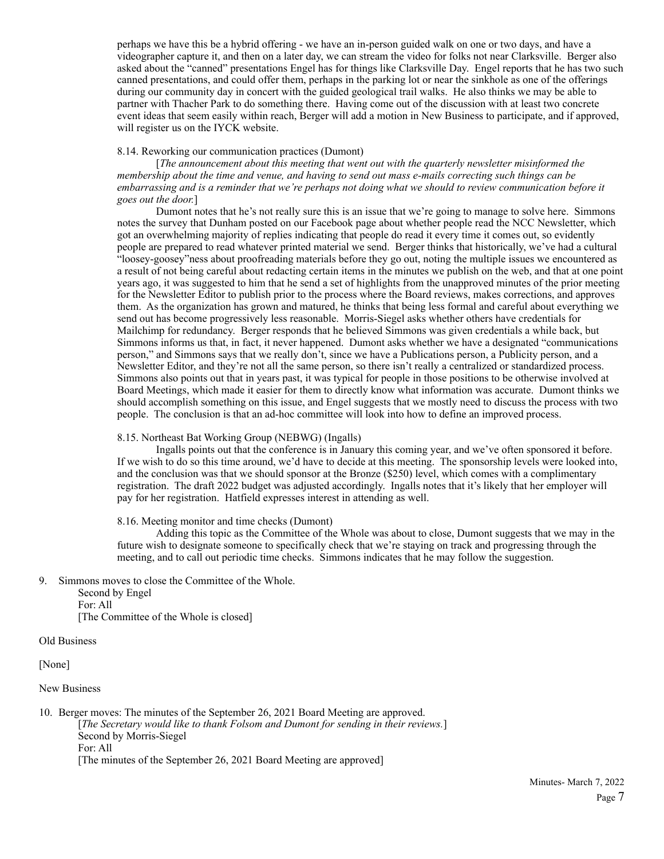perhaps we have this be a hybrid offering - we have an in-person guided walk on one or two days, and have a videographer capture it, and then on a later day, we can stream the video for folks not near Clarksville. Berger also asked about the "canned" presentations Engel has for things like Clarksville Day. Engel reports that he has two such canned presentations, and could offer them, perhaps in the parking lot or near the sinkhole as one of the offerings during our community day in concert with the guided geological trail walks. He also thinks we may be able to partner with Thacher Park to do something there. Having come out of the discussion with at least two concrete event ideas that seem easily within reach, Berger will add a motion in New Business to participate, and if approved, will register us on the IYCK website.

### 8.14. Reworking our communication practices (Dumont)

 [*The announcement about this meeting that went out with the quarterly newsletter misinformed the membership about the time and venue, and having to send out mass e-mails correcting such things can be*  embarrassing and is a reminder that we're perhaps not doing what we should to review communication before it *goes out the door.*]

 Dumont notes that he's not really sure this is an issue that we're going to manage to solve here. Simmons notes the survey that Dunham posted on our Facebook page about whether people read the NCC Newsletter, which got an overwhelming majority of replies indicating that people do read it every time it comes out, so evidently people are prepared to read whatever printed material we send. Berger thinks that historically, we've had a cultural "loosey-goosey"ness about proofreading materials before they go out, noting the multiple issues we encountered as a result of not being careful about redacting certain items in the minutes we publish on the web, and that at one point years ago, it was suggested to him that he send a set of highlights from the unapproved minutes of the prior meeting for the Newsletter Editor to publish prior to the process where the Board reviews, makes corrections, and approves them. As the organization has grown and matured, he thinks that being less formal and careful about everything we send out has become progressively less reasonable. Morris-Siegel asks whether others have credentials for Mailchimp for redundancy. Berger responds that he believed Simmons was given credentials a while back, but Simmons informs us that, in fact, it never happened. Dumont asks whether we have a designated "communications person," and Simmons says that we really don't, since we have a Publications person, a Publicity person, and a Newsletter Editor, and they're not all the same person, so there isn't really a centralized or standardized process. Simmons also points out that in years past, it was typical for people in those positions to be otherwise involved at Board Meetings, which made it easier for them to directly know what information was accurate. Dumont thinks we should accomplish something on this issue, and Engel suggests that we mostly need to discuss the process with two people. The conclusion is that an ad-hoc committee will look into how to define an improved process.

# 8.15. Northeast Bat Working Group (NEBWG) (Ingalls)

 Ingalls points out that the conference is in January this coming year, and we've often sponsored it before. If we wish to do so this time around, we'd have to decide at this meeting. The sponsorship levels were looked into, and the conclusion was that we should sponsor at the Bronze (\$250) level, which comes with a complimentary registration. The draft 2022 budget was adjusted accordingly. Ingalls notes that it's likely that her employer will pay for her registration. Hatfield expresses interest in attending as well.

### 8.16. Meeting monitor and time checks (Dumont)

 Adding this topic as the Committee of the Whole was about to close, Dumont suggests that we may in the future wish to designate someone to specifically check that we're staying on track and progressing through the meeting, and to call out periodic time checks. Simmons indicates that he may follow the suggestion.

9. Simmons moves to close the Committee of the Whole. Second by Engel For: All

[The Committee of the Whole is closed]

Old Business

[None]

New Business

10. Berger moves: The minutes of the September 26, 2021 Board Meeting are approved. [*The Secretary would like to thank Folsom and Dumont for sending in their reviews.*] Second by Morris-Siegel For: All [The minutes of the September 26, 2021 Board Meeting are approved]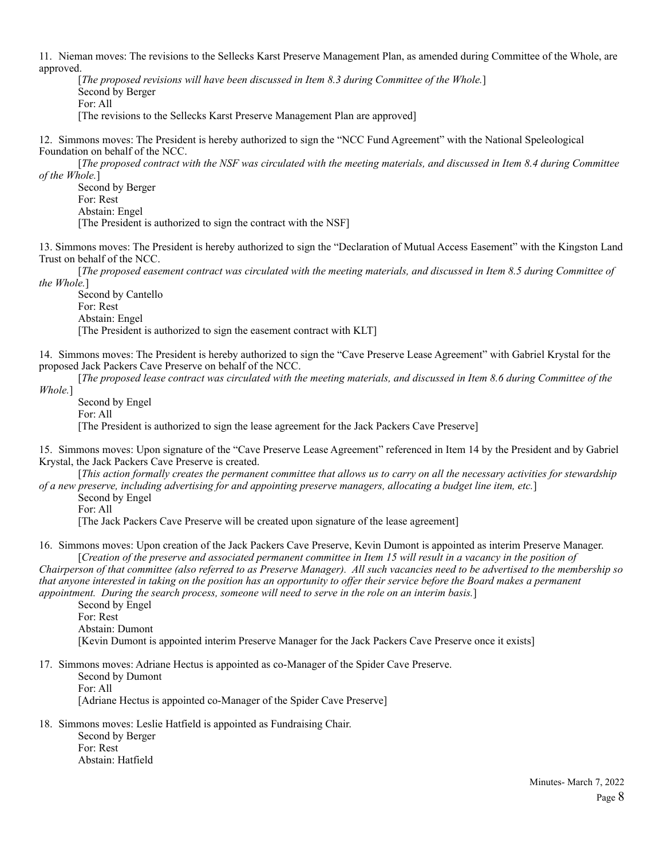11. Nieman moves: The revisions to the Sellecks Karst Preserve Management Plan, as amended during Committee of the Whole, are approved.

 [*The proposed revisions will have been discussed in Item 8.3 during Committee of the Whole.*] Second by Berger For: All [The revisions to the Sellecks Karst Preserve Management Plan are approved]

12. Simmons moves: The President is hereby authorized to sign the "NCC Fund Agreement" with the National Speleological Foundation on behalf of the NCC.

 [*The proposed contract with the NSF was circulated with the meeting materials, and discussed in Item 8.4 during Committee of the Whole.*]

 Second by Berger For: Rest Abstain: Engel [The President is authorized to sign the contract with the NSF]

13. Simmons moves: The President is hereby authorized to sign the "Declaration of Mutual Access Easement" with the Kingston Land Trust on behalf of the NCC.

 [*The proposed easement contract was circulated with the meeting materials, and discussed in Item 8.5 during Committee of the Whole.*]

 Second by Cantello For: Rest Abstain: Engel [The President is authorized to sign the easement contract with KLT]

14. Simmons moves: The President is hereby authorized to sign the "Cave Preserve Lease Agreement" with Gabriel Krystal for the proposed Jack Packers Cave Preserve on behalf of the NCC.

[*The proposed lease contract was circulated with the meeting materials, and discussed in Item 8.6 during Committee of the* 

*Whole.*] Second by Engel For: All [The President is authorized to sign the lease agreement for the Jack Packers Cave Preserve]

15. Simmons moves: Upon signature of the "Cave Preserve Lease Agreement" referenced in Item 14 by the President and by Gabriel Krystal, the Jack Packers Cave Preserve is created.

 [*This action formally creates the permanent committee that allows us to carry on all the necessary activities for stewardship of a new preserve, including advertising for and appointing preserve managers, allocating a budget line item, etc.*]

Second by Engel

For: All

[The Jack Packers Cave Preserve will be created upon signature of the lease agreement]

16. Simmons moves: Upon creation of the Jack Packers Cave Preserve, Kevin Dumont is appointed as interim Preserve Manager. [*Creation of the preserve and associated permanent committee in Item 15 will result in a vacancy in the position of Chairperson of that committee (also referred to as Preserve Manager). All such vacancies need to be advertised to the membership so* 

*that anyone interested in taking on the position has an opportunity to offer their service before the Board makes a permanent appointment. During the search process, someone will need to serve in the role on an interim basis.*]

 Second by Engel For: Rest Abstain: Dumont [Kevin Dumont is appointed interim Preserve Manager for the Jack Packers Cave Preserve once it exists]

17. Simmons moves: Adriane Hectus is appointed as co-Manager of the Spider Cave Preserve.

Second by Dumont

For: All

[Adriane Hectus is appointed co-Manager of the Spider Cave Preserve]

18. Simmons moves: Leslie Hatfield is appointed as Fundraising Chair. Second by Berger For: Rest Abstain: Hatfield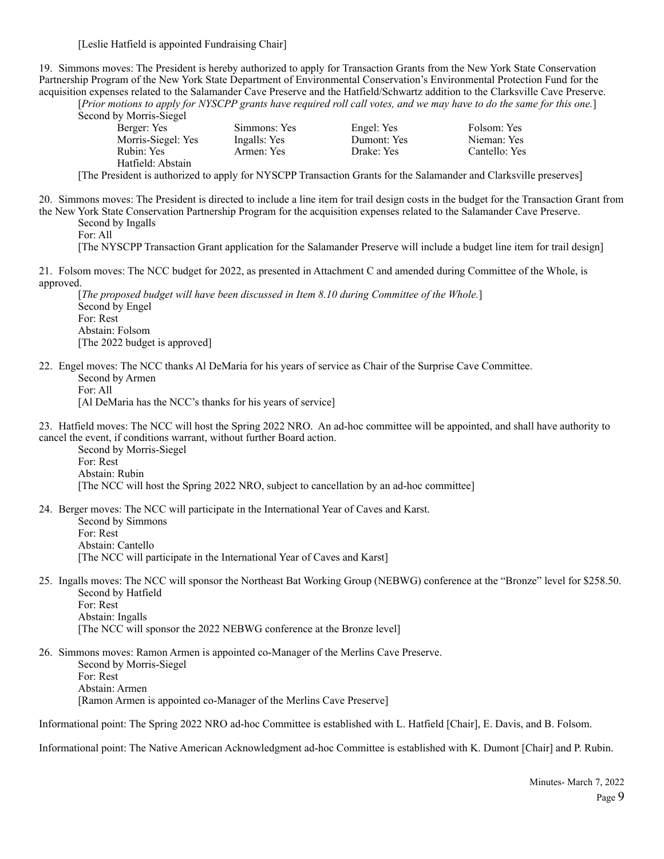[Leslie Hatfield is appointed Fundraising Chair]

19. Simmons moves: The President is hereby authorized to apply for Transaction Grants from the New York State Conservation Partnership Program of the New York State Department of Environmental Conservation's Environmental Protection Fund for the acquisition expenses related to the Salamander Cave Preserve and the Hatfield/Schwartz addition to the Clarksville Cave Preserve. [*Prior motions to apply for NYSCPP grants have required roll call votes, and we may have to do the same for this one.*]

| Berger: Yes        | Simmons: Yes | Engel: Yes  | Folsom: Yes   |
|--------------------|--------------|-------------|---------------|
| Morris-Siegel: Yes | Ingalls: Yes | Dumont: Yes | Nieman: Yes   |
| Rubin: Yes         | Armen: Yes   | Drake: Yes  | Cantello: Yes |

[The President is authorized to apply for NYSCPP Transaction Grants for the Salamander and Clarksville preserves]

20. Simmons moves: The President is directed to include a line item for trail design costs in the budget for the Transaction Grant from the New York State Conservation Partnership Program for the acquisition expenses related to the Salamander Cave Preserve. Second by Ingalls

For: All

[The NYSCPP Transaction Grant application for the Salamander Preserve will include a budget line item for trail design]

21. Folsom moves: The NCC budget for 2022, as presented in Attachment C and amended during Committee of the Whole, is approved.

 [*The proposed budget will have been discussed in Item 8.10 during Committee of the Whole.*] Second by Engel For: Rest Abstain: Folsom [The 2022 budget is approved]

22. Engel moves: The NCC thanks Al DeMaria for his years of service as Chair of the Surprise Cave Committee. Second by Armen For: All [Al DeMaria has the NCC's thanks for his years of service]

23. Hatfield moves: The NCC will host the Spring 2022 NRO. An ad-hoc committee will be appointed, and shall have authority to cancel the event, if conditions warrant, without further Board action.

 Second by Morris-Siegel For: Rest Abstain: Rubin [The NCC will host the Spring 2022 NRO, subject to cancellation by an ad-hoc committee]

24. Berger moves: The NCC will participate in the International Year of Caves and Karst.

 Second by Simmons For: Rest Abstain: Cantello [The NCC will participate in the International Year of Caves and Karst]

- 25. Ingalls moves: The NCC will sponsor the Northeast Bat Working Group (NEBWG) conference at the "Bronze" level for \$258.50. Second by Hatfield For: Rest Abstain: Ingalls [The NCC will sponsor the 2022 NEBWG conference at the Bronze level]
- 26. Simmons moves: Ramon Armen is appointed co-Manager of the Merlins Cave Preserve. Second by Morris-Siegel For: Rest Abstain: Armen [Ramon Armen is appointed co-Manager of the Merlins Cave Preserve]

Informational point: The Spring 2022 NRO ad-hoc Committee is established with L. Hatfield [Chair], E. Davis, and B. Folsom.

Informational point: The Native American Acknowledgment ad-hoc Committee is established with K. Dumont [Chair] and P. Rubin.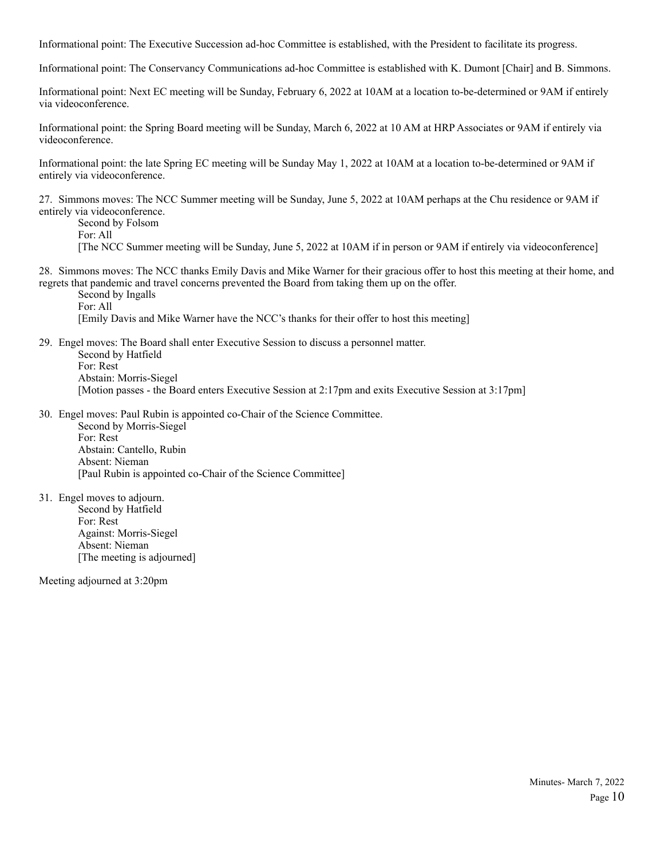Informational point: The Executive Succession ad-hoc Committee is established, with the President to facilitate its progress.

Informational point: The Conservancy Communications ad-hoc Committee is established with K. Dumont [Chair] and B. Simmons.

Informational point: Next EC meeting will be Sunday, February 6, 2022 at 10AM at a location to-be-determined or 9AM if entirely via videoconference.

Informational point: the Spring Board meeting will be Sunday, March 6, 2022 at 10 AM at HRP Associates or 9AM if entirely via videoconference.

Informational point: the late Spring EC meeting will be Sunday May 1, 2022 at 10AM at a location to-be-determined or 9AM if entirely via videoconference.

27. Simmons moves: The NCC Summer meeting will be Sunday, June 5, 2022 at 10AM perhaps at the Chu residence or 9AM if entirely via videoconference.

 Second by Folsom For: All [The NCC Summer meeting will be Sunday, June 5, 2022 at 10AM if in person or 9AM if entirely via videoconference]

28. Simmons moves: The NCC thanks Emily Davis and Mike Warner for their gracious offer to host this meeting at their home, and regrets that pandemic and travel concerns prevented the Board from taking them up on the offer.

 Second by Ingalls For: All [Emily Davis and Mike Warner have the NCC's thanks for their offer to host this meeting]

29. Engel moves: The Board shall enter Executive Session to discuss a personnel matter. Second by Hatfield For: Rest Abstain: Morris-Siegel [Motion passes - the Board enters Executive Session at 2:17pm and exits Executive Session at 3:17pm]

30. Engel moves: Paul Rubin is appointed co-Chair of the Science Committee.

 Second by Morris-Siegel For: Rest Abstain: Cantello, Rubin Absent: Nieman [Paul Rubin is appointed co-Chair of the Science Committee]

31. Engel moves to adjourn.

 Second by Hatfield For: Rest Against: Morris-Siegel Absent: Nieman [The meeting is adjourned]

Meeting adjourned at 3:20pm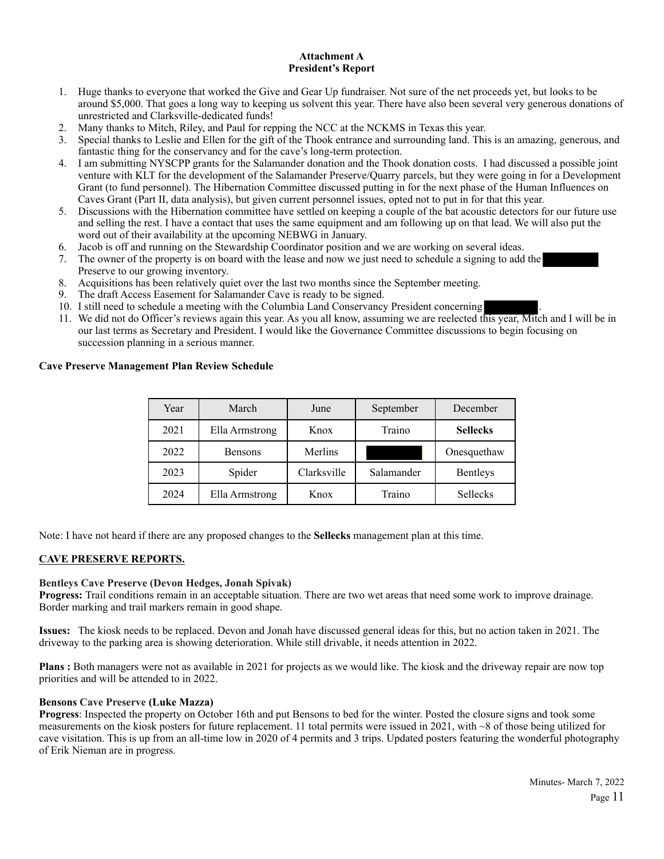### **Attachment A President's Report**

- 1. Huge thanks to everyone that worked the Give and Gear Up fundraiser. Not sure of the net proceeds yet, but looks to be around \$5,000. That goes a long way to keeping us solvent this year. There have also been several very generous donations of unrestricted and Clarksville-dedicated funds!
- 2. Many thanks to Mitch, Riley, and Paul for repping the NCC at the NCKMS in Texas this year.
- 3. Special thanks to Leslie and Ellen for the gift of the Thook entrance and surrounding land. This is an amazing, generous, and fantastic thing for the conservancy and for the cave's long-term protection.
- 4. I am submitting NYSCPP grants for the Salamander donation and the Thook donation costs. I had discussed a possible joint venture with KLT for the development of the Salamander Preserve/Quarry parcels, but they were going in for a Development Grant (to fund personnel). The Hibernation Committee discussed putting in for the next phase of the Human Influences on Caves Grant (Part II, data analysis), but given current personnel issues, opted not to put in for that this year.
- 5. Discussions with the Hibernation committee have settled on keeping a couple of the bat acoustic detectors for our future use and selling the rest. I have a contact that uses the same equipment and am following up on that lead. We will also put the word out of their availability at the upcoming NEBWG in January.
- 6. Jacob is off and running on the Stewardship Coordinator position and we are working on several ideas.
- 7. The owner of the property is on board with the lease and now we just need to schedule a signing to add the Preserve to our growing inventory.
- 8. Acquisitions has been relatively quiet over the last two months since the September meeting.
- 9. The draft Access Easement for Salamander Cave is ready to be signed.
- 10. I still need to schedule a meeting with the Columbia Land Conservancy President concerning .
- 11. We did not do Officer's reviews again this year. As you all know, assuming we are reelected this year, Mitch and I will be in our last terms as Secretary and President. I would like the Governance Committee discussions to begin focusing on succession planning in a serious manner.

# **Cave Preserve Management Plan Review Schedule**

| Year | March          | June        | September  | December        |
|------|----------------|-------------|------------|-----------------|
| 2021 | Ella Armstrong | Knox        | Traino     | <b>Sellecks</b> |
| 2022 | <b>Bensons</b> | Merlins     |            | Onesquethaw     |
| 2023 | Spider         | Clarksville | Salamander | <b>Bentleys</b> |
| 2024 | Ella Armstrong | Knox        | Traino     | <b>Sellecks</b> |

Note: I have not heard if there are any proposed changes to the **Sellecks** management plan at this time.

# **CAVE PRESERVE REPORTS.**

### **Bentleys Cave Preserve (Devon Hedges, Jonah Spivak)**

**Progress:** Trail conditions remain in an acceptable situation. There are two wet areas that need some work to improve drainage. Border marking and trail markers remain in good shape.

**Issues:** The kiosk needs to be replaced. Devon and Jonah have discussed general ideas for this, but no action taken in 2021. The driveway to the parking area is showing deterioration. While still drivable, it needs attention in 2022.

**Plans**: Both managers were not as available in 2021 for projects as we would like. The kiosk and the driveway repair are now top priorities and will be attended to in 2022.

### **Bensons Cave Preserve (Luke Mazza)**

**Progress**: Inspected the property on October 16th and put Bensons to bed for the winter. Posted the closure signs and took some measurements on the kiosk posters for future replacement. 11 total permits were issued in 2021, with ~8 of those being utilized for cave visitation. This is up from an all-time low in 2020 of 4 permits and 3 trips. Updated posters featuring the wonderful photography of Erik Nieman are in progress.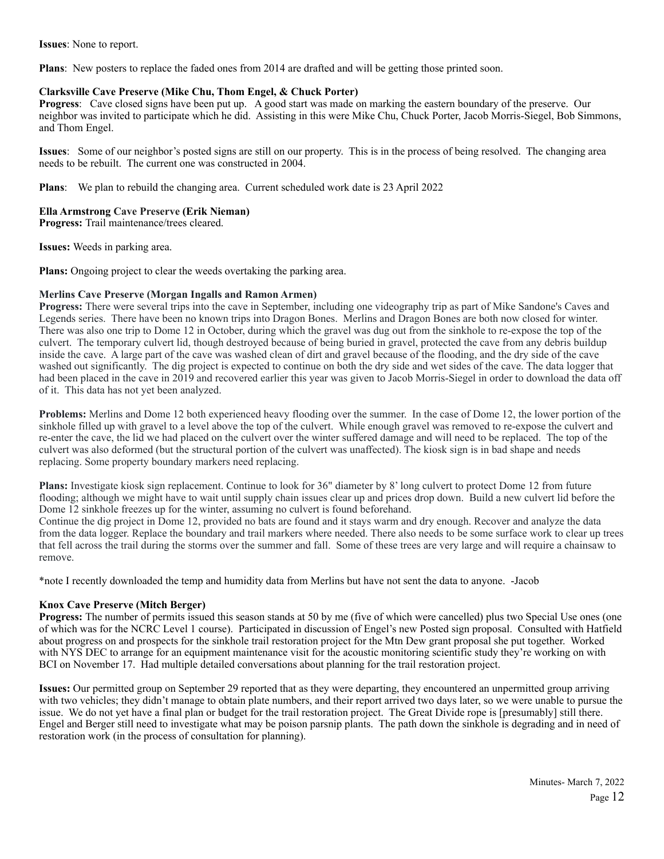**Issues**: None to report.

**Plans**: New posters to replace the faded ones from 2014 are drafted and will be getting those printed soon.

### **Clarksville Cave Preserve (Mike Chu, Thom Engel, & Chuck Porter)**

**Progress**: Cave closed signs have been put up. A good start was made on marking the eastern boundary of the preserve. Our neighbor was invited to participate which he did. Assisting in this were Mike Chu, Chuck Porter, Jacob Morris-Siegel, Bob Simmons, and Thom Engel.

**Issues**: Some of our neighbor's posted signs are still on our property. This is in the process of being resolved. The changing area needs to be rebuilt. The current one was constructed in 2004.

**Plans**: We plan to rebuild the changing area. Current scheduled work date is 23 April 2022

### **Ella Armstrong Cave Preserve (Erik Nieman)**

**Progress:** Trail maintenance/trees cleared.

**Issues:** Weeds in parking area.

**Plans:** Ongoing project to clear the weeds overtaking the parking area.

### **Merlins Cave Preserve (Morgan Ingalls and Ramon Armen)**

**Progress:** There were several trips into the cave in September, including one videography trip as part of Mike Sandone's Caves and Legends series. There have been no known trips into Dragon Bones. Merlins and Dragon Bones are both now closed for winter. There was also one trip to Dome 12 in October, during which the gravel was dug out from the sinkhole to re-expose the top of the culvert. The temporary culvert lid, though destroyed because of being buried in gravel, protected the cave from any debris buildup inside the cave. A large part of the cave was washed clean of dirt and gravel because of the flooding, and the dry side of the cave washed out significantly. The dig project is expected to continue on both the dry side and wet sides of the cave. The data logger that had been placed in the cave in 2019 and recovered earlier this year was given to Jacob Morris-Siegel in order to download the data off of it. This data has not yet been analyzed.

**Problems:** Merlins and Dome 12 both experienced heavy flooding over the summer. In the case of Dome 12, the lower portion of the sinkhole filled up with gravel to a level above the top of the culvert. While enough gravel was removed to re-expose the culvert and re-enter the cave, the lid we had placed on the culvert over the winter suffered damage and will need to be replaced. The top of the culvert was also deformed (but the structural portion of the culvert was unaffected). The kiosk sign is in bad shape and needs replacing. Some property boundary markers need replacing.

**Plans:** Investigate kiosk sign replacement. Continue to look for 36" diameter by 8' long culvert to protect Dome 12 from future flooding; although we might have to wait until supply chain issues clear up and prices drop down. Build a new culvert lid before the Dome 12 sinkhole freezes up for the winter, assuming no culvert is found beforehand.

Continue the dig project in Dome 12, provided no bats are found and it stays warm and dry enough. Recover and analyze the data from the data logger. Replace the boundary and trail markers where needed. There also needs to be some surface work to clear up trees that fell across the trail during the storms over the summer and fall. Some of these trees are very large and will require a chainsaw to remove.

\*note I recently downloaded the temp and humidity data from Merlins but have not sent the data to anyone. -Jacob

### **Knox Cave Preserve (Mitch Berger)**

**Progress:** The number of permits issued this season stands at 50 by me (five of which were cancelled) plus two Special Use ones (one of which was for the NCRC Level 1 course). Participated in discussion of Engel's new Posted sign proposal. Consulted with Hatfield about progress on and prospects for the sinkhole trail restoration project for the Mtn Dew grant proposal she put together. Worked with NYS DEC to arrange for an equipment maintenance visit for the acoustic monitoring scientific study they're working on with BCI on November 17. Had multiple detailed conversations about planning for the trail restoration project.

**Issues:** Our permitted group on September 29 reported that as they were departing, they encountered an unpermitted group arriving with two vehicles; they didn't manage to obtain plate numbers, and their report arrived two days later, so we were unable to pursue the issue. We do not yet have a final plan or budget for the trail restoration project. The Great Divide rope is [presumably] still there. Engel and Berger still need to investigate what may be poison parsnip plants. The path down the sinkhole is degrading and in need of restoration work (in the process of consultation for planning).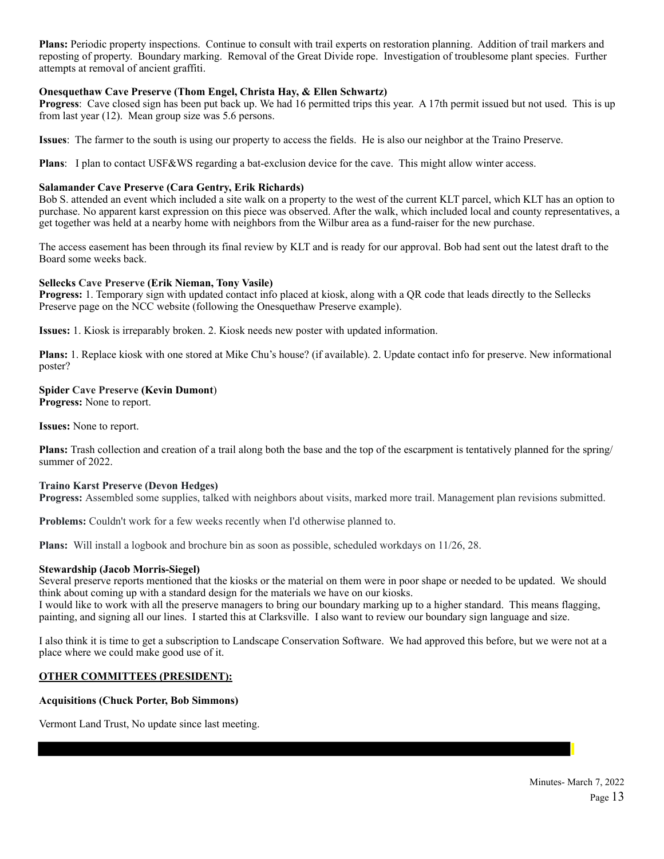**Plans:** Periodic property inspections. Continue to consult with trail experts on restoration planning. Addition of trail markers and reposting of property. Boundary marking. Removal of the Great Divide rope. Investigation of troublesome plant species. Further attempts at removal of ancient graffiti.

# **Onesquethaw Cave Preserve (Thom Engel, Christa Hay, & Ellen Schwartz)**

**Progress**: Cave closed sign has been put back up. We had 16 permitted trips this year. A 17th permit issued but not used. This is up from last year (12). Mean group size was 5.6 persons.

**Issues**: The farmer to the south is using our property to access the fields. He is also our neighbor at the Traino Preserve.

**Plans**: I plan to contact USF&WS regarding a bat-exclusion device for the cave. This might allow winter access.

### **Salamander Cave Preserve (Cara Gentry, Erik Richards)**

Bob S. attended an event which included a site walk on a property to the west of the current KLT parcel, which KLT has an option to purchase. No apparent karst expression on this piece was observed. After the walk, which included local and county representatives, a get together was held at a nearby home with neighbors from the Wilbur area as a fund-raiser for the new purchase.

The access easement has been through its final review by KLT and is ready for our approval. Bob had sent out the latest draft to the Board some weeks back.

### **Sellecks Cave Preserve (Erik Nieman, Tony Vasile)**

**Progress:** 1. Temporary sign with updated contact info placed at kiosk, along with a QR code that leads directly to the Sellecks Preserve page on the NCC website (following the Onesquethaw Preserve example).

**Issues:** 1. Kiosk is irreparably broken. 2. Kiosk needs new poster with updated information.

**Plans:** 1. Replace kiosk with one stored at Mike Chu's house? (if available). 2. Update contact info for preserve. New informational poster?

### **Spider Cave Preserve (Kevin Dumont**)

**Progress:** None to report.

**Issues:** None to report.

**Plans:** Trash collection and creation of a trail along both the base and the top of the escarpment is tentatively planned for the spring/ summer of 2022.

### **Traino Karst Preserve (Devon Hedges)**

**Progress:** Assembled some supplies, talked with neighbors about visits, marked more trail. Management plan revisions submitted.

**Problems:** Couldn't work for a few weeks recently when I'd otherwise planned to.

**Plans:** Will install a logbook and brochure bin as soon as possible, scheduled workdays on 11/26, 28.

# **Stewardship (Jacob Morris-Siegel)**

Several preserve reports mentioned that the kiosks or the material on them were in poor shape or needed to be updated. We should think about coming up with a standard design for the materials we have on our kiosks.

I would like to work with all the preserve managers to bring our boundary marking up to a higher standard. This means flagging, painting, and signing all our lines. I started this at Clarksville. I also want to review our boundary sign language and size.

I also think it is time to get a subscription to Landscape Conservation Software. We had approved this before, but we were not at a place where we could make good use of it.

# **OTHER COMMITTEES (PRESIDENT):**

# **Acquisitions (Chuck Porter, Bob Simmons)**

Vermont Land Trust, No update since last meeting.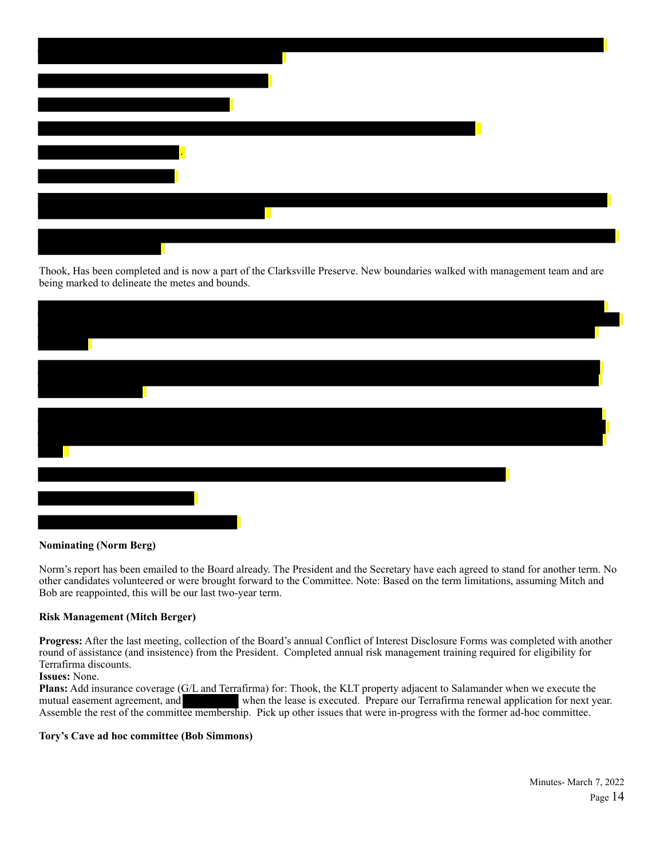| <u> .</u> |  |
|-----------|--|
|           |  |
|           |  |
|           |  |

Thook, Has been completed and is now a part of the Clarksville Preserve. New boundaries walked with management team and are being marked to delineate the metes and bounds.

# **Nominating (Norm Berg)**

Norm's report has been emailed to the Board already. The President and the Secretary have each agreed to stand for another term. No other candidates volunteered or were brought forward to the Committee. Note: Based on the term limitations, assuming Mitch and Bob are reappointed, this will be our last two-year term.

# **Risk Management (Mitch Berger)**

**Progress:** After the last meeting, collection of the Board's annual Conflict of Interest Disclosure Forms was completed with another round of assistance (and insistence) from the President. Completed annual risk management training required for eligibility for Terrafirma discounts.

# **Issues:** None.

**Plans:** Add insurance coverage (G/L and Terrafirma) for: Thook, the KLT property adjacent to Salamander when we execute the mutual easement agreement, and when the lease is executed. Prepare our Terrafirma renewal application for next year. Assemble the rest of the committee membership. Pick up other issues that were in-progress with the former ad-hoc committee.

### **Tory's Cave ad hoc committee (Bob Simmons)**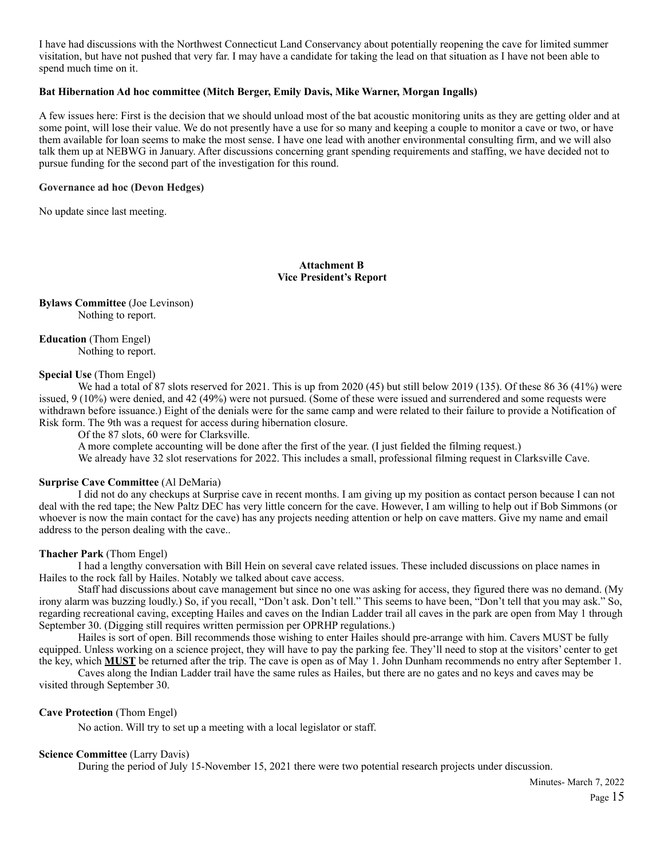I have had discussions with the Northwest Connecticut Land Conservancy about potentially reopening the cave for limited summer visitation, but have not pushed that very far. I may have a candidate for taking the lead on that situation as I have not been able to spend much time on it.

### **Bat Hibernation Ad hoc committee (Mitch Berger, Emily Davis, Mike Warner, Morgan Ingalls)**

A few issues here: First is the decision that we should unload most of the bat acoustic monitoring units as they are getting older and at some point, will lose their value. We do not presently have a use for so many and keeping a couple to monitor a cave or two, or have them available for loan seems to make the most sense. I have one lead with another environmental consulting firm, and we will also talk them up at NEBWG in January. After discussions concerning grant spending requirements and staffing, we have decided not to pursue funding for the second part of the investigation for this round.

### **Governance ad hoc (Devon Hedges)**

No update since last meeting.

**Attachment B Vice President's Report** 

**Bylaws Committee** (Joe Levinson) Nothing to report.

**Education** (Thom Engel) Nothing to report.

#### **Special Use** (Thom Engel)

 We had a total of 87 slots reserved for 2021. This is up from 2020 (45) but still below 2019 (135). Of these 86 36 (41%) were issued, 9 (10%) were denied, and 42 (49%) were not pursued. (Some of these were issued and surrendered and some requests were withdrawn before issuance.) Eight of the denials were for the same camp and were related to their failure to provide a Notification of Risk form. The 9th was a request for access during hibernation closure.

Of the 87 slots, 60 were for Clarksville.

A more complete accounting will be done after the first of the year. (I just fielded the filming request.)

We already have 32 slot reservations for 2022. This includes a small, professional filming request in Clarksville Cave.

### **Surprise Cave Committee** (Al DeMaria)

 I did not do any checkups at Surprise cave in recent months. I am giving up my position as contact person because I can not deal with the red tape; the New Paltz DEC has very little concern for the cave. However, I am willing to help out if Bob Simmons (or whoever is now the main contact for the cave) has any projects needing attention or help on cave matters. Give my name and email address to the person dealing with the cave..

### **Thacher Park** (Thom Engel)

 I had a lengthy conversation with Bill Hein on several cave related issues. These included discussions on place names in Hailes to the rock fall by Hailes. Notably we talked about cave access.

 Staff had discussions about cave management but since no one was asking for access, they figured there was no demand. (My irony alarm was buzzing loudly.) So, if you recall, "Don't ask. Don't tell." This seems to have been, "Don't tell that you may ask." So, regarding recreational caving, excepting Hailes and caves on the Indian Ladder trail all caves in the park are open from May 1 through September 30. (Digging still requires written permission per OPRHP regulations.)

 Hailes is sort of open. Bill recommends those wishing to enter Hailes should pre-arrange with him. Cavers MUST be fully equipped. Unless working on a science project, they will have to pay the parking fee. They'll need to stop at the visitors' center to get the key, which **MUST** be returned after the trip. The cave is open as of May 1. John Dunham recommends no entry after September 1.

 Caves along the Indian Ladder trail have the same rules as Hailes, but there are no gates and no keys and caves may be visited through September 30.

### **Cave Protection** (Thom Engel)

No action. Will try to set up a meeting with a local legislator or staff.

### **Science Committee** (Larry Davis)

During the period of July 15-November 15, 2021 there were two potential research projects under discussion.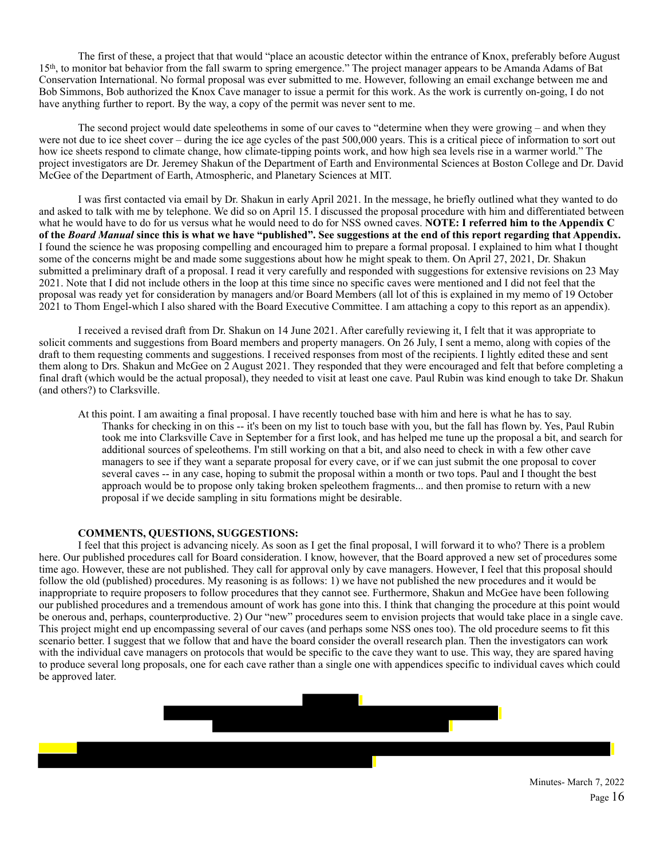The first of these, a project that that would "place an acoustic detector within the entrance of Knox, preferably before August 15<sup>th</sup>, to monitor bat behavior from the fall swarm to spring emergence." The project manager appears to be Amanda Adams of Bat Conservation International. No formal proposal was ever submitted to me. However, following an email exchange between me and Bob Simmons, Bob authorized the Knox Cave manager to issue a permit for this work. As the work is currently on-going, I do not have anything further to report. By the way, a copy of the permit was never sent to me.

 The second project would date speleothems in some of our caves to "determine when they were growing – and when they were not due to ice sheet cover – during the ice age cycles of the past 500,000 years. This is a critical piece of information to sort out how ice sheets respond to climate change, how climate-tipping points work, and how high sea levels rise in a warmer world." The project investigators are Dr. Jeremey Shakun of the Department of Earth and Environmental Sciences at Boston College and Dr. David McGee of the Department of Earth, Atmospheric, and Planetary Sciences at MIT.

 I was first contacted via email by Dr. Shakun in early April 2021. In the message, he briefly outlined what they wanted to do and asked to talk with me by telephone. We did so on April 15. I discussed the proposal procedure with him and differentiated between what he would have to do for us versus what he would need to do for NSS owned caves. **NOTE: I referred him to the Appendix C of the** *Board Manual* **since this is what we have "published". See suggestions at the end of this report regarding that Appendix.**  I found the science he was proposing compelling and encouraged him to prepare a formal proposal. I explained to him what I thought some of the concerns might be and made some suggestions about how he might speak to them. On April 27, 2021, Dr. Shakun submitted a preliminary draft of a proposal. I read it very carefully and responded with suggestions for extensive revisions on 23 May 2021. Note that I did not include others in the loop at this time since no specific caves were mentioned and I did not feel that the proposal was ready yet for consideration by managers and/or Board Members (all lot of this is explained in my memo of 19 October 2021 to Thom Engel-which I also shared with the Board Executive Committee. I am attaching a copy to this report as an appendix).

 I received a revised draft from Dr. Shakun on 14 June 2021. After carefully reviewing it, I felt that it was appropriate to solicit comments and suggestions from Board members and property managers. On 26 July, I sent a memo, along with copies of the draft to them requesting comments and suggestions. I received responses from most of the recipients. I lightly edited these and sent them along to Drs. Shakun and McGee on 2 August 2021. They responded that they were encouraged and felt that before completing a final draft (which would be the actual proposal), they needed to visit at least one cave. Paul Rubin was kind enough to take Dr. Shakun (and others?) to Clarksville.

 At this point. I am awaiting a final proposal. I have recently touched base with him and here is what he has to say. Thanks for checking in on this -- it's been on my list to touch base with you, but the fall has flown by. Yes, Paul Rubin took me into Clarksville Cave in September for a first look, and has helped me tune up the proposal a bit, and search for additional sources of speleothems. I'm still working on that a bit, and also need to check in with a few other cave managers to see if they want a separate proposal for every cave, or if we can just submit the one proposal to cover several caves -- in any case, hoping to submit the proposal within a month or two tops. Paul and I thought the best approach would be to propose only taking broken speleothem fragments... and then promise to return with a new proposal if we decide sampling in situ formations might be desirable.

### **COMMENTS, QUESTIONS, SUGGESTIONS:**

I feel that this project is advancing nicely. As soon as I get the final proposal, I will forward it to who? There is a problem here. Our published procedures call for Board consideration. I know, however, that the Board approved a new set of procedures some time ago. However, these are not published. They call for approval only by cave managers. However, I feel that this proposal should follow the old (published) procedures. My reasoning is as follows: 1) we have not published the new procedures and it would be inappropriate to require proposers to follow procedures that they cannot see. Furthermore, Shakun and McGee have been following our published procedures and a tremendous amount of work has gone into this. I think that changing the procedure at this point would be onerous and, perhaps, counterproductive. 2) Our "new" procedures seem to envision projects that would take place in a single cave. This project might end up encompassing several of our caves (and perhaps some NSS ones too). The old procedure seems to fit this scenario better. I suggest that we follow that and have the board consider the overall research plan. Then the investigators can work with the individual cave managers on protocols that would be specific to the cave they want to use. This way, they are spared having to produce several long proposals, one for each cave rather than a single one with appendices specific to individual caves which could be approved later.

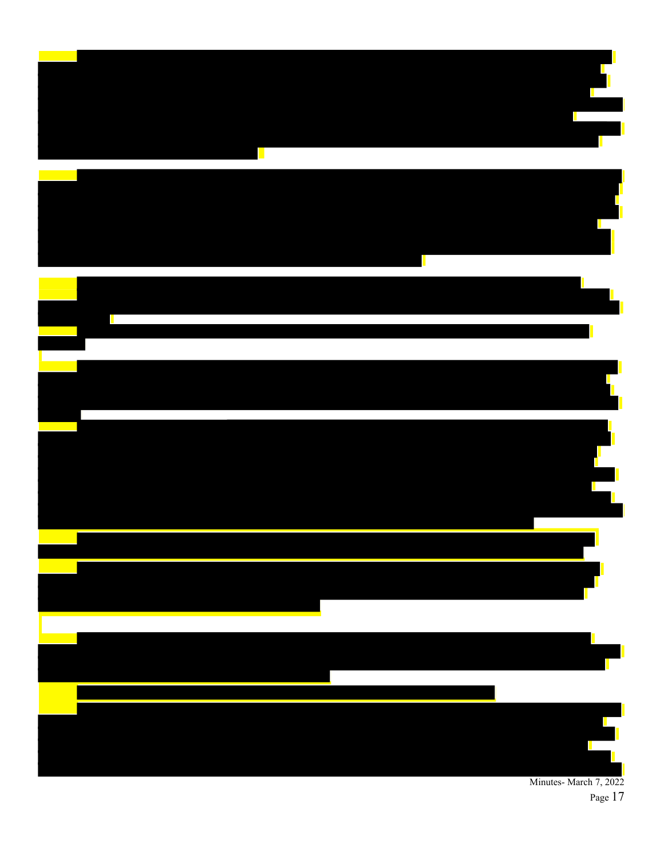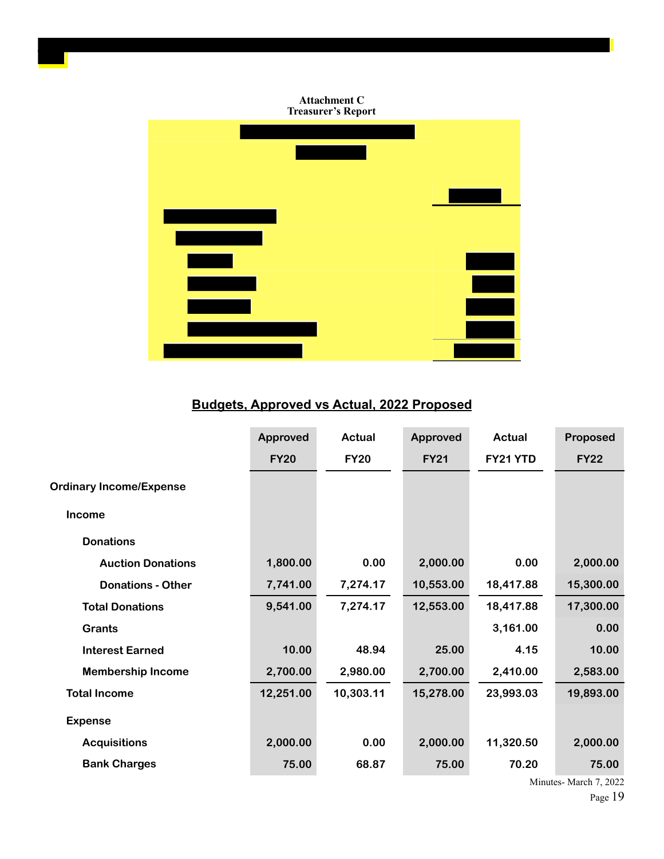# **Attachment C**

| <b>Treasurer's Report</b>           |  |  |  |  |  |
|-------------------------------------|--|--|--|--|--|
|                                     |  |  |  |  |  |
|                                     |  |  |  |  |  |
|                                     |  |  |  |  |  |
|                                     |  |  |  |  |  |
| <u> Maria Alemania de San Ant</u>   |  |  |  |  |  |
|                                     |  |  |  |  |  |
|                                     |  |  |  |  |  |
| <u> 1999 - Andrew Maria Barat (</u> |  |  |  |  |  |
|                                     |  |  |  |  |  |
|                                     |  |  |  |  |  |
|                                     |  |  |  |  |  |
|                                     |  |  |  |  |  |

# **Budgets, Approved vs Actual, 2022 Proposed**

|                                | <b>Approved</b> | <b>Actual</b> | <b>Approved</b> | Actual    | Proposed    |
|--------------------------------|-----------------|---------------|-----------------|-----------|-------------|
|                                | <b>FY20</b>     | <b>FY20</b>   | <b>FY21</b>     | FY21 YTD  | <b>FY22</b> |
| <b>Ordinary Income/Expense</b> |                 |               |                 |           |             |
| Income                         |                 |               |                 |           |             |
| <b>Donations</b>               |                 |               |                 |           |             |
| <b>Auction Donations</b>       | 1,800.00        | 0.00          | 2,000.00        | 0.00      | 2,000.00    |
| <b>Donations - Other</b>       | 7,741.00        | 7,274.17      | 10,553.00       | 18,417.88 | 15,300.00   |
| <b>Total Donations</b>         | 9,541.00        | 7,274.17      | 12,553.00       | 18,417.88 | 17,300.00   |
| <b>Grants</b>                  |                 |               |                 | 3,161.00  | 0.00        |
| <b>Interest Earned</b>         | 10.00           | 48.94         | 25.00           | 4.15      | 10.00       |
| <b>Membership Income</b>       | 2,700.00        | 2,980.00      | 2,700.00        | 2,410.00  | 2,583.00    |
| <b>Total Income</b>            | 12,251.00       | 10,303.11     | 15,278.00       | 23,993.03 | 19,893.00   |
| <b>Expense</b>                 |                 |               |                 |           |             |
| <b>Acquisitions</b>            | 2,000.00        | 0.00          | 2,000.00        | 11,320.50 | 2,000.00    |
| <b>Bank Charges</b>            | 75.00           | 68.87         | 75.00           | 70.20     | 75.00       |

Minutes- March 7, 2022

Page 19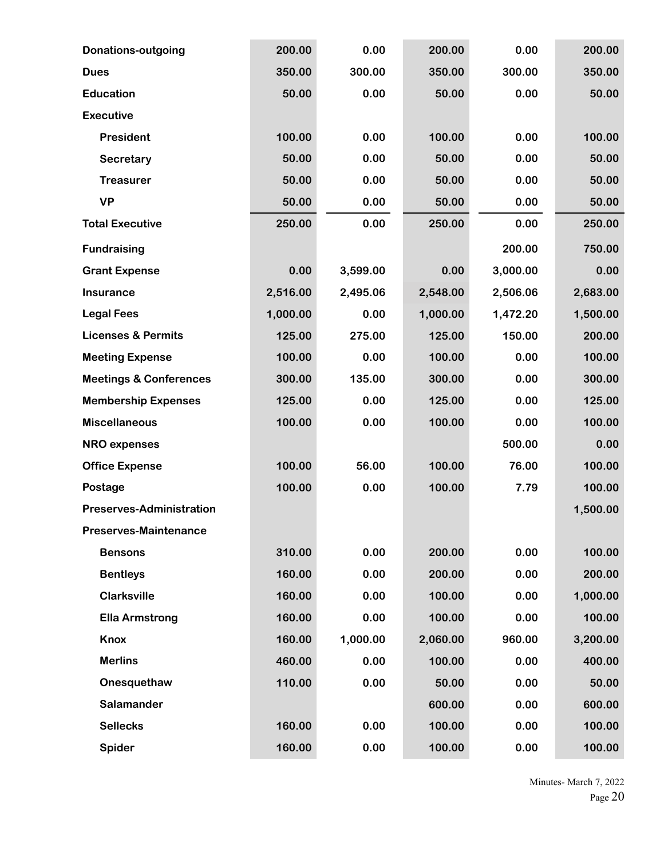| <b>Donations-outgoing</b>         | 200.00   | 0.00     | 200.00   | 0.00     | 200.00   |
|-----------------------------------|----------|----------|----------|----------|----------|
| <b>Dues</b>                       | 350.00   | 300.00   | 350.00   | 300.00   | 350.00   |
| <b>Education</b>                  | 50.00    | 0.00     | 50.00    | 0.00     | 50.00    |
| <b>Executive</b>                  |          |          |          |          |          |
| <b>President</b>                  | 100.00   | 0.00     | 100.00   | 0.00     | 100.00   |
| <b>Secretary</b>                  | 50.00    | 0.00     | 50.00    | 0.00     | 50.00    |
| <b>Treasurer</b>                  | 50.00    | 0.00     | 50.00    | 0.00     | 50.00    |
| <b>VP</b>                         | 50.00    | 0.00     | 50.00    | 0.00     | 50.00    |
| <b>Total Executive</b>            | 250.00   | 0.00     | 250.00   | 0.00     | 250.00   |
| <b>Fundraising</b>                |          |          |          | 200.00   | 750.00   |
| <b>Grant Expense</b>              | 0.00     | 3,599.00 | 0.00     | 3,000.00 | 0.00     |
| Insurance                         | 2,516.00 | 2,495.06 | 2,548.00 | 2,506.06 | 2,683.00 |
| <b>Legal Fees</b>                 | 1,000.00 | 0.00     | 1,000.00 | 1,472.20 | 1,500.00 |
| <b>Licenses &amp; Permits</b>     | 125.00   | 275.00   | 125.00   | 150.00   | 200.00   |
| <b>Meeting Expense</b>            | 100.00   | 0.00     | 100.00   | 0.00     | 100.00   |
| <b>Meetings &amp; Conferences</b> | 300.00   | 135.00   | 300.00   | 0.00     | 300.00   |
| <b>Membership Expenses</b>        | 125.00   | 0.00     | 125.00   | 0.00     | 125.00   |
| <b>Miscellaneous</b>              | 100.00   | 0.00     | 100.00   | 0.00     | 100.00   |
| <b>NRO</b> expenses               |          |          |          | 500.00   | 0.00     |
| <b>Office Expense</b>             | 100.00   | 56.00    | 100.00   | 76.00    | 100.00   |
| Postage                           | 100.00   | 0.00     | 100.00   | 7.79     | 100.00   |
| <b>Preserves-Administration</b>   |          |          |          |          | 1,500.00 |
| <b>Preserves-Maintenance</b>      |          |          |          |          |          |
| <b>Bensons</b>                    | 310.00   | 0.00     | 200.00   | 0.00     | 100.00   |
| <b>Bentleys</b>                   | 160.00   | 0.00     | 200.00   | 0.00     | 200.00   |
| <b>Clarksville</b>                | 160.00   | 0.00     | 100.00   | 0.00     | 1,000.00 |
| <b>Ella Armstrong</b>             | 160.00   | 0.00     | 100.00   | 0.00     | 100.00   |
| Knox                              | 160.00   | 1,000.00 | 2,060.00 | 960.00   | 3,200.00 |
| <b>Merlins</b>                    | 460.00   | 0.00     | 100.00   | 0.00     | 400.00   |
| Onesquethaw                       | 110.00   | 0.00     | 50.00    | 0.00     | 50.00    |
| Salamander                        |          |          | 600.00   | 0.00     | 600.00   |
| <b>Sellecks</b>                   | 160.00   | 0.00     | 100.00   | 0.00     | 100.00   |
| <b>Spider</b>                     | 160.00   | 0.00     | 100.00   | 0.00     | 100.00   |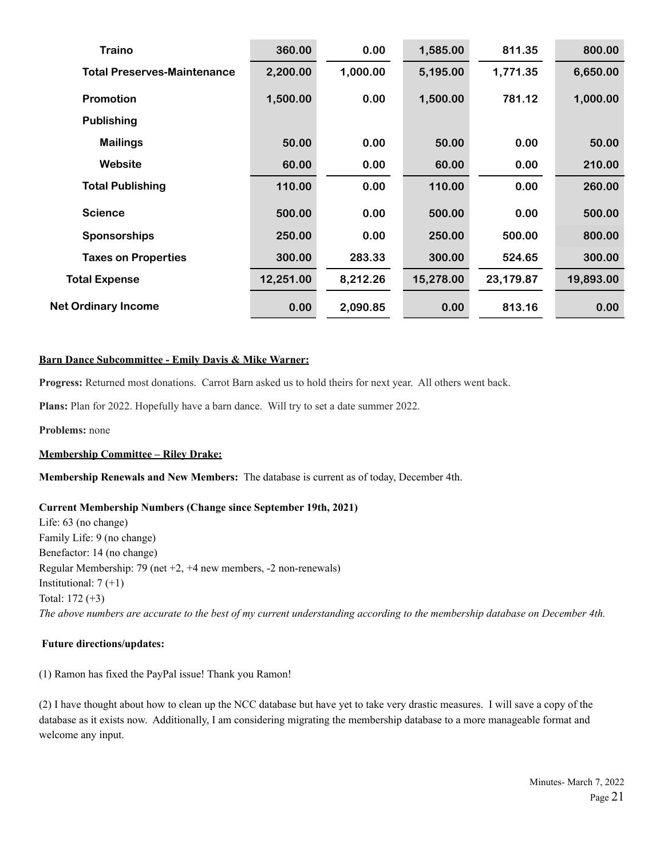| <b>Traino</b>                      | 360.00    | 0.00     | 1,585.00  | 811.35    | 800.00    |
|------------------------------------|-----------|----------|-----------|-----------|-----------|
| <b>Total Preserves-Maintenance</b> | 2,200.00  | 1,000.00 | 5,195.00  | 1,771.35  | 6,650.00  |
| <b>Promotion</b>                   | 1,500.00  | 0.00     | 1,500.00  | 781.12    | 1,000.00  |
| <b>Publishing</b>                  |           |          |           |           |           |
| <b>Mailings</b>                    | 50.00     | 0.00     | 50.00     | 0.00      | 50.00     |
| Website                            | 60.00     | 0.00     | 60.00     | 0.00      | 210.00    |
| <b>Total Publishing</b>            | 110.00    | 0.00     | 110.00    | 0.00      | 260.00    |
| <b>Science</b>                     | 500.00    | 0.00     | 500.00    | 0.00      | 500.00    |
| <b>Sponsorships</b>                | 250.00    | 0.00     | 250.00    | 500.00    | 800.00    |
| <b>Taxes on Properties</b>         | 300.00    | 283.33   | 300.00    | 524.65    | 300.00    |
| <b>Total Expense</b>               | 12,251.00 | 8,212.26 | 15,278.00 | 23,179.87 | 19,893.00 |
| <b>Net Ordinary Income</b>         | 0.00      | 2,090.85 | 0.00      | 813.16    | 0.00      |

# **Barn Dance Subcommittee - Emily Davis & Mike Warner:**

**Progress:** Returned most donations. Carrot Barn asked us to hold theirs for next year. All others went back.

**Plans:** Plan for 2022. Hopefully have a barn dance. Will try to set a date summer 2022.

**Problems:** none

# **Membership Committee – Riley Drake:**

**Membership Renewals and New Members:** The database is current as of today, December 4th.

# **Current Membership Numbers (Change since September 19th, 2021)**

Life: 63 (no change) Family Life: 9 (no change) Benefactor: 14 (no change) Regular Membership: 79 (net +2, +4 new members, -2 non-renewals) Institutional:  $7 (+1)$ Total: 172 (+3) *The above numbers are accurate to the best of my current understanding according to the membership database on December 4th.* 

# **Future directions/updates:**

(1) Ramon has fixed the PayPal issue! Thank you Ramon!

(2) I have thought about how to clean up the NCC database but have yet to take very drastic measures. I will save a copy of the database as it exists now. Additionally, I am considering migrating the membership database to a more manageable format and welcome any input.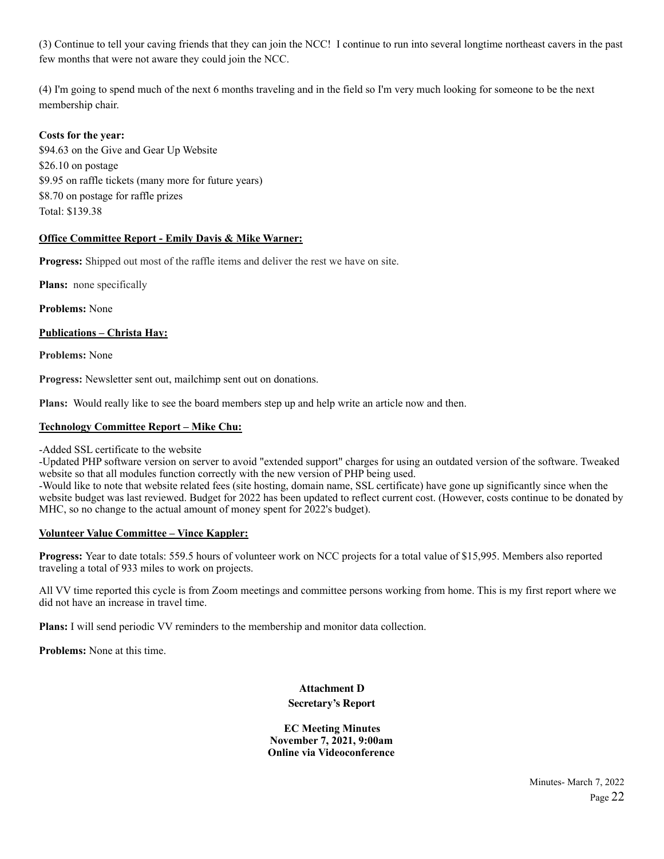(3) Continue to tell your caving friends that they can join the NCC! I continue to run into several longtime northeast cavers in the past few months that were not aware they could join the NCC.

(4) I'm going to spend much of the next 6 months traveling and in the field so I'm very much looking for someone to be the next membership chair.

# **Costs for the year:**

\$94.63 on the Give and Gear Up Website \$26.10 on postage \$9.95 on raffle tickets (many more for future years) \$8.70 on postage for raffle prizes Total: \$139.38

# **Office Committee Report - Emily Davis & Mike Warner:**

**Progress:** Shipped out most of the raffle items and deliver the rest we have on site.

**Plans:** none specifically

**Problems:** None

# **Publications – Christa Hay:**

**Problems:** None

**Progress:** Newsletter sent out, mailchimp sent out on donations.

**Plans:** Would really like to see the board members step up and help write an article now and then.

# **Technology Committee Report – Mike Chu:**

-Added SSL certificate to the website

-Updated PHP software version on server to avoid "extended support" charges for using an outdated version of the software. Tweaked website so that all modules function correctly with the new version of PHP being used.

-Would like to note that website related fees (site hosting, domain name, SSL certificate) have gone up significantly since when the website budget was last reviewed. Budget for 2022 has been updated to reflect current cost. (However, costs continue to be donated by MHC, so no change to the actual amount of money spent for 2022's budget).

# **Volunteer Value Committee – Vince Kappler:**

**Progress:** Year to date totals: 559.5 hours of volunteer work on NCC projects for a total value of \$15,995. Members also reported traveling a total of 933 miles to work on projects.

All VV time reported this cycle is from Zoom meetings and committee persons working from home. This is my first report where we did not have an increase in travel time.

**Plans:** I will send periodic VV reminders to the membership and monitor data collection.

**Problems:** None at this time.

# **Attachment D Secretary's Report**

**EC Meeting Minutes November 7, 2021, 9:00am Online via Videoconference**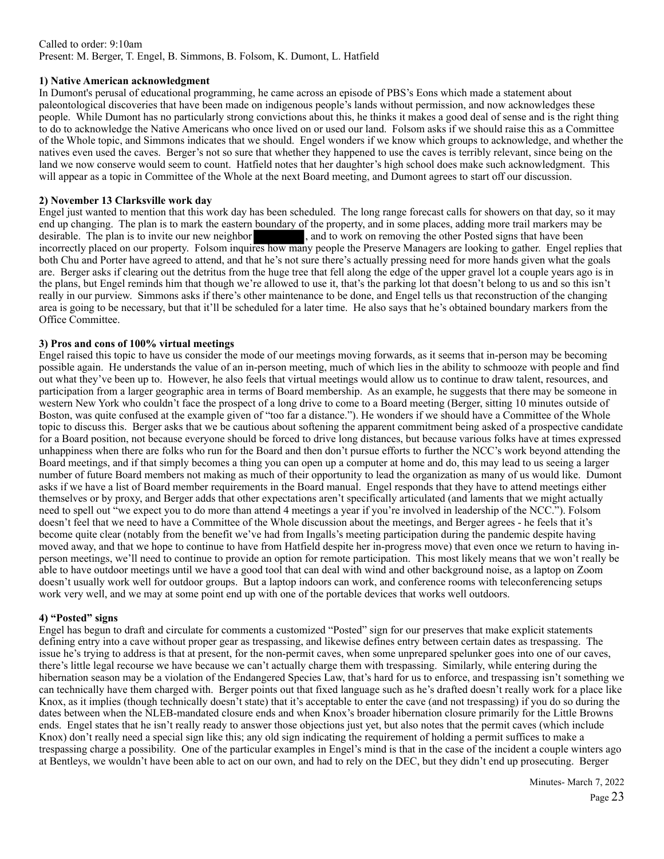# Called to order: 9:10am Present: M. Berger, T. Engel, B. Simmons, B. Folsom, K. Dumont, L. Hatfield

# **1) Native American acknowledgment**

In Dumont's perusal of educational programming, he came across an episode of PBS's Eons which made a statement about paleontological discoveries that have been made on indigenous people's lands without permission, and now acknowledges these people. While Dumont has no particularly strong convictions about this, he thinks it makes a good deal of sense and is the right thing to do to acknowledge the Native Americans who once lived on or used our land. Folsom asks if we should raise this as a Committee of the Whole topic, and Simmons indicates that we should. Engel wonders if we know which groups to acknowledge, and whether the natives even used the caves. Berger's not so sure that whether they happened to use the caves is terribly relevant, since being on the land we now conserve would seem to count. Hatfield notes that her daughter's high school does make such acknowledgment. This will appear as a topic in Committee of the Whole at the next Board meeting, and Dumont agrees to start off our discussion.

### **2) November 13 Clarksville work day**

Engel just wanted to mention that this work day has been scheduled. The long range forecast calls for showers on that day, so it may end up changing. The plan is to mark the eastern boundary of the property, and in some places, adding more trail markers may be desirable. The plan is to invite our new neighbor , and to work on removing the other Posted signs that have been incorrectly placed on our property. Folsom inquires how many people the Preserve Managers are looking to gather. Engel replies that both Chu and Porter have agreed to attend, and that he's not sure there's actually pressing need for more hands given what the goals are. Berger asks if clearing out the detritus from the huge tree that fell along the edge of the upper gravel lot a couple years ago is in the plans, but Engel reminds him that though we're allowed to use it, that's the parking lot that doesn't belong to us and so this isn't really in our purview. Simmons asks if there's other maintenance to be done, and Engel tells us that reconstruction of the changing area is going to be necessary, but that it'll be scheduled for a later time. He also says that he's obtained boundary markers from the Office Committee.

### **3) Pros and cons of 100% virtual meetings**

Engel raised this topic to have us consider the mode of our meetings moving forwards, as it seems that in-person may be becoming possible again. He understands the value of an in-person meeting, much of which lies in the ability to schmooze with people and find out what they've been up to. However, he also feels that virtual meetings would allow us to continue to draw talent, resources, and participation from a larger geographic area in terms of Board membership. As an example, he suggests that there may be someone in western New York who couldn't face the prospect of a long drive to come to a Board meeting (Berger, sitting 10 minutes outside of Boston, was quite confused at the example given of "too far a distance."). He wonders if we should have a Committee of the Whole topic to discuss this. Berger asks that we be cautious about softening the apparent commitment being asked of a prospective candidate for a Board position, not because everyone should be forced to drive long distances, but because various folks have at times expressed unhappiness when there are folks who run for the Board and then don't pursue efforts to further the NCC's work beyond attending the Board meetings, and if that simply becomes a thing you can open up a computer at home and do, this may lead to us seeing a larger number of future Board members not making as much of their opportunity to lead the organization as many of us would like. Dumont asks if we have a list of Board member requirements in the Board manual. Engel responds that they have to attend meetings either themselves or by proxy, and Berger adds that other expectations aren't specifically articulated (and laments that we might actually need to spell out "we expect you to do more than attend 4 meetings a year if you're involved in leadership of the NCC."). Folsom doesn't feel that we need to have a Committee of the Whole discussion about the meetings, and Berger agrees - he feels that it's become quite clear (notably from the benefit we've had from Ingalls's meeting participation during the pandemic despite having moved away, and that we hope to continue to have from Hatfield despite her in-progress move) that even once we return to having inperson meetings, we'll need to continue to provide an option for remote participation. This most likely means that we won't really be able to have outdoor meetings until we have a good tool that can deal with wind and other background noise, as a laptop on Zoom doesn't usually work well for outdoor groups. But a laptop indoors can work, and conference rooms with teleconferencing setups work very well, and we may at some point end up with one of the portable devices that works well outdoors.

# **4) "Posted" signs**

Engel has begun to draft and circulate for comments a customized "Posted" sign for our preserves that make explicit statements defining entry into a cave without proper gear as trespassing, and likewise defines entry between certain dates as trespassing. The issue he's trying to address is that at present, for the non-permit caves, when some unprepared spelunker goes into one of our caves, there's little legal recourse we have because we can't actually charge them with trespassing. Similarly, while entering during the hibernation season may be a violation of the Endangered Species Law, that's hard for us to enforce, and trespassing isn't something we can technically have them charged with. Berger points out that fixed language such as he's drafted doesn't really work for a place like Knox, as it implies (though technically doesn't state) that it's acceptable to enter the cave (and not trespassing) if you do so during the dates between when the NLEB-mandated closure ends and when Knox's broader hibernation closure primarily for the Little Browns ends. Engel states that he isn't really ready to answer those objections just yet, but also notes that the permit caves (which include Knox) don't really need a special sign like this; any old sign indicating the requirement of holding a permit suffices to make a trespassing charge a possibility. One of the particular examples in Engel's mind is that in the case of the incident a couple winters ago at Bentleys, we wouldn't have been able to act on our own, and had to rely on the DEC, but they didn't end up prosecuting. Berger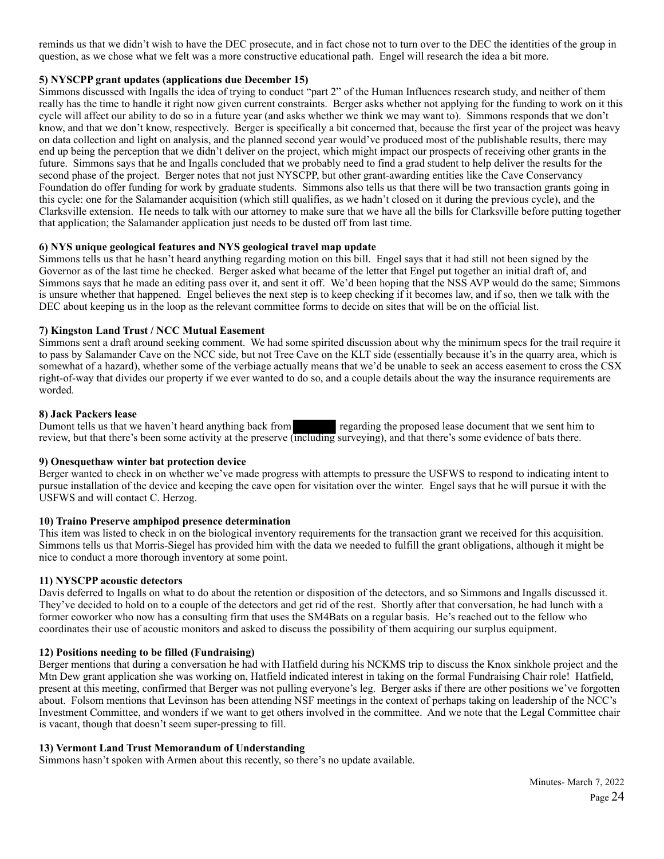reminds us that we didn't wish to have the DEC prosecute, and in fact chose not to turn over to the DEC the identities of the group in question, as we chose what we felt was a more constructive educational path. Engel will research the idea a bit more.

# **5) NYSCPP grant updates (applications due December 15)**

Simmons discussed with Ingalls the idea of trying to conduct "part 2" of the Human Influences research study, and neither of them really has the time to handle it right now given current constraints. Berger asks whether not applying for the funding to work on it this cycle will affect our ability to do so in a future year (and asks whether we think we may want to). Simmons responds that we don't know, and that we don't know, respectively. Berger is specifically a bit concerned that, because the first year of the project was heavy on data collection and light on analysis, and the planned second year would've produced most of the publishable results, there may end up being the perception that we didn't deliver on the project, which might impact our prospects of receiving other grants in the future. Simmons says that he and Ingalls concluded that we probably need to find a grad student to help deliver the results for the second phase of the project. Berger notes that not just NYSCPP, but other grant-awarding entities like the Cave Conservancy Foundation do offer funding for work by graduate students. Simmons also tells us that there will be two transaction grants going in this cycle: one for the Salamander acquisition (which still qualifies, as we hadn't closed on it during the previous cycle), and the Clarksville extension. He needs to talk with our attorney to make sure that we have all the bills for Clarksville before putting together that application; the Salamander application just needs to be dusted off from last time.

# **6) NYS unique geological features and NYS geological travel map update**

Simmons tells us that he hasn't heard anything regarding motion on this bill. Engel says that it had still not been signed by the Governor as of the last time he checked. Berger asked what became of the letter that Engel put together an initial draft of, and Simmons says that he made an editing pass over it, and sent it off. We'd been hoping that the NSS AVP would do the same; Simmons is unsure whether that happened. Engel believes the next step is to keep checking if it becomes law, and if so, then we talk with the DEC about keeping us in the loop as the relevant committee forms to decide on sites that will be on the official list.

# **7) Kingston Land Trust / NCC Mutual Easement**

Simmons sent a draft around seeking comment. We had some spirited discussion about why the minimum specs for the trail require it to pass by Salamander Cave on the NCC side, but not Tree Cave on the KLT side (essentially because it's in the quarry area, which is somewhat of a hazard), whether some of the verbiage actually means that we'd be unable to seek an access easement to cross the CSX right-of-way that divides our property if we ever wanted to do so, and a couple details about the way the insurance requirements are worded.

# **8) Jack Packers lease**

Dumont tells us that we haven't heard anything back from regarding the proposed lease document that we sent him to review, but that there's been some activity at the preserve (including surveying), and that there's some evidence of bats there.

# **9) Onesquethaw winter bat protection device**

Berger wanted to check in on whether we've made progress with attempts to pressure the USFWS to respond to indicating intent to pursue installation of the device and keeping the cave open for visitation over the winter. Engel says that he will pursue it with the USFWS and will contact C. Herzog.

# **10) Traino Preserve amphipod presence determination**

This item was listed to check in on the biological inventory requirements for the transaction grant we received for this acquisition. Simmons tells us that Morris-Siegel has provided him with the data we needed to fulfill the grant obligations, although it might be nice to conduct a more thorough inventory at some point.

# **11) NYSCPP acoustic detectors**

Davis deferred to Ingalls on what to do about the retention or disposition of the detectors, and so Simmons and Ingalls discussed it. They've decided to hold on to a couple of the detectors and get rid of the rest. Shortly after that conversation, he had lunch with a former coworker who now has a consulting firm that uses the SM4Bats on a regular basis. He's reached out to the fellow who coordinates their use of acoustic monitors and asked to discuss the possibility of them acquiring our surplus equipment.

# **12) Positions needing to be filled (Fundraising)**

Berger mentions that during a conversation he had with Hatfield during his NCKMS trip to discuss the Knox sinkhole project and the Mtn Dew grant application she was working on, Hatfield indicated interest in taking on the formal Fundraising Chair role! Hatfield, present at this meeting, confirmed that Berger was not pulling everyone's leg. Berger asks if there are other positions we've forgotten about. Folsom mentions that Levinson has been attending NSF meetings in the context of perhaps taking on leadership of the NCC's Investment Committee, and wonders if we want to get others involved in the committee. And we note that the Legal Committee chair is vacant, though that doesn't seem super-pressing to fill.

# **13) Vermont Land Trust Memorandum of Understanding**

Simmons hasn't spoken with Armen about this recently, so there's no update available.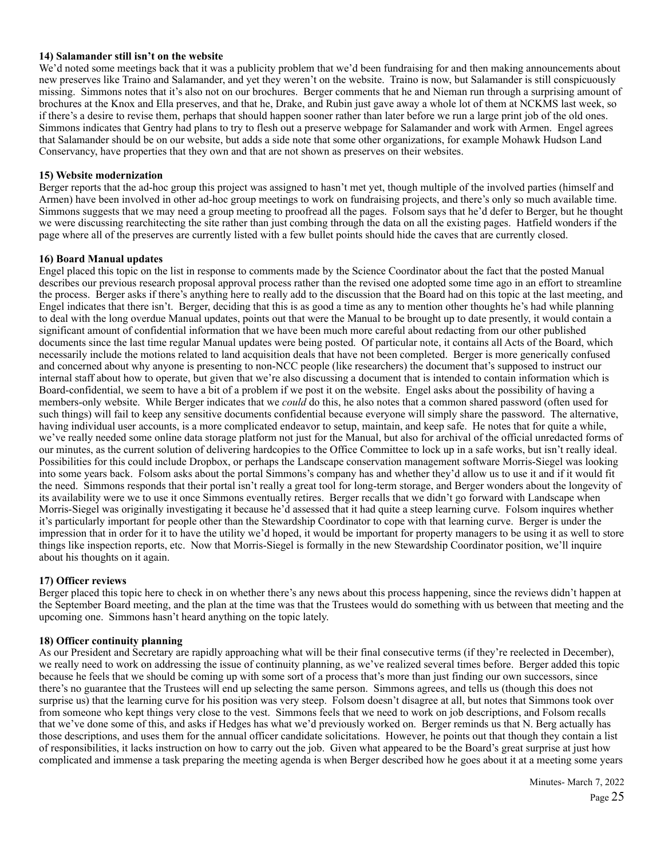### **14) Salamander still isn't on the website**

We'd noted some meetings back that it was a publicity problem that we'd been fundraising for and then making announcements about new preserves like Traino and Salamander, and yet they weren't on the website. Traino is now, but Salamander is still conspicuously missing. Simmons notes that it's also not on our brochures. Berger comments that he and Nieman run through a surprising amount of brochures at the Knox and Ella preserves, and that he, Drake, and Rubin just gave away a whole lot of them at NCKMS last week, so if there's a desire to revise them, perhaps that should happen sooner rather than later before we run a large print job of the old ones. Simmons indicates that Gentry had plans to try to flesh out a preserve webpage for Salamander and work with Armen. Engel agrees that Salamander should be on our website, but adds a side note that some other organizations, for example Mohawk Hudson Land Conservancy, have properties that they own and that are not shown as preserves on their websites.

### **15) Website modernization**

Berger reports that the ad-hoc group this project was assigned to hasn't met yet, though multiple of the involved parties (himself and Armen) have been involved in other ad-hoc group meetings to work on fundraising projects, and there's only so much available time. Simmons suggests that we may need a group meeting to proofread all the pages. Folsom says that he'd defer to Berger, but he thought we were discussing rearchitecting the site rather than just combing through the data on all the existing pages. Hatfield wonders if the page where all of the preserves are currently listed with a few bullet points should hide the caves that are currently closed.

### **16) Board Manual updates**

Engel placed this topic on the list in response to comments made by the Science Coordinator about the fact that the posted Manual describes our previous research proposal approval process rather than the revised one adopted some time ago in an effort to streamline the process. Berger asks if there's anything here to really add to the discussion that the Board had on this topic at the last meeting, and Engel indicates that there isn't. Berger, deciding that this is as good a time as any to mention other thoughts he's had while planning to deal with the long overdue Manual updates, points out that were the Manual to be brought up to date presently, it would contain a significant amount of confidential information that we have been much more careful about redacting from our other published documents since the last time regular Manual updates were being posted. Of particular note, it contains all Acts of the Board, which necessarily include the motions related to land acquisition deals that have not been completed. Berger is more generically confused and concerned about why anyone is presenting to non-NCC people (like researchers) the document that's supposed to instruct our internal staff about how to operate, but given that we're also discussing a document that is intended to contain information which is Board-confidential, we seem to have a bit of a problem if we post it on the website. Engel asks about the possibility of having a members-only website. While Berger indicates that we *could* do this, he also notes that a common shared password (often used for such things) will fail to keep any sensitive documents confidential because everyone will simply share the password. The alternative, having individual user accounts, is a more complicated endeavor to setup, maintain, and keep safe. He notes that for quite a while, we've really needed some online data storage platform not just for the Manual, but also for archival of the official unredacted forms of our minutes, as the current solution of delivering hardcopies to the Office Committee to lock up in a safe works, but isn't really ideal. Possibilities for this could include Dropbox, or perhaps the Landscape conservation management software Morris-Siegel was looking into some years back. Folsom asks about the portal Simmons's company has and whether they'd allow us to use it and if it would fit the need. Simmons responds that their portal isn't really a great tool for long-term storage, and Berger wonders about the longevity of its availability were we to use it once Simmons eventually retires. Berger recalls that we didn't go forward with Landscape when Morris-Siegel was originally investigating it because he'd assessed that it had quite a steep learning curve. Folsom inquires whether it's particularly important for people other than the Stewardship Coordinator to cope with that learning curve. Berger is under the impression that in order for it to have the utility we'd hoped, it would be important for property managers to be using it as well to store things like inspection reports, etc. Now that Morris-Siegel is formally in the new Stewardship Coordinator position, we'll inquire about his thoughts on it again.

# **17) Officer reviews**

Berger placed this topic here to check in on whether there's any news about this process happening, since the reviews didn't happen at the September Board meeting, and the plan at the time was that the Trustees would do something with us between that meeting and the upcoming one. Simmons hasn't heard anything on the topic lately.

### **18) Officer continuity planning**

As our President and Secretary are rapidly approaching what will be their final consecutive terms (if they're reelected in December), we really need to work on addressing the issue of continuity planning, as we've realized several times before. Berger added this topic because he feels that we should be coming up with some sort of a process that's more than just finding our own successors, since there's no guarantee that the Trustees will end up selecting the same person. Simmons agrees, and tells us (though this does not surprise us) that the learning curve for his position was very steep. Folsom doesn't disagree at all, but notes that Simmons took over from someone who kept things very close to the vest. Simmons feels that we need to work on job descriptions, and Folsom recalls that we've done some of this, and asks if Hedges has what we'd previously worked on. Berger reminds us that N. Berg actually has those descriptions, and uses them for the annual officer candidate solicitations. However, he points out that though they contain a list of responsibilities, it lacks instruction on how to carry out the job. Given what appeared to be the Board's great surprise at just how complicated and immense a task preparing the meeting agenda is when Berger described how he goes about it at a meeting some years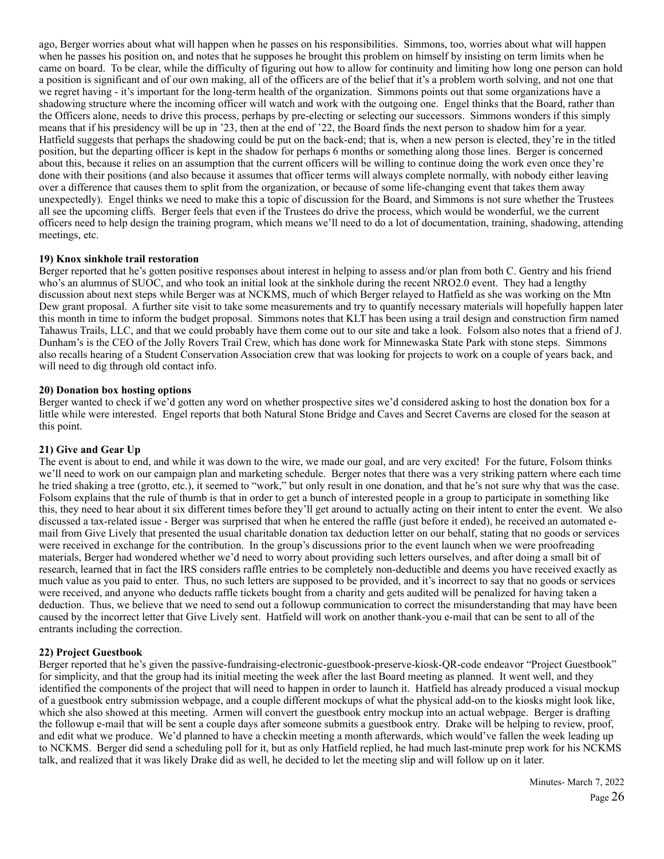ago, Berger worries about what will happen when he passes on his responsibilities. Simmons, too, worries about what will happen when he passes his position on, and notes that he supposes he brought this problem on himself by insisting on term limits when he came on board. To be clear, while the difficulty of figuring out how to allow for continuity and limiting how long one person can hold a position is significant and of our own making, all of the officers are of the belief that it's a problem worth solving, and not one that we regret having - it's important for the long-term health of the organization. Simmons points out that some organizations have a shadowing structure where the incoming officer will watch and work with the outgoing one. Engel thinks that the Board, rather than the Officers alone, needs to drive this process, perhaps by pre-electing or selecting our successors. Simmons wonders if this simply means that if his presidency will be up in '23, then at the end of '22, the Board finds the next person to shadow him for a year. Hatfield suggests that perhaps the shadowing could be put on the back-end; that is, when a new person is elected, they're in the titled position, but the departing officer is kept in the shadow for perhaps 6 months or something along those lines. Berger is concerned about this, because it relies on an assumption that the current officers will be willing to continue doing the work even once they're done with their positions (and also because it assumes that officer terms will always complete normally, with nobody either leaving over a difference that causes them to split from the organization, or because of some life-changing event that takes them away unexpectedly). Engel thinks we need to make this a topic of discussion for the Board, and Simmons is not sure whether the Trustees all see the upcoming cliffs. Berger feels that even if the Trustees do drive the process, which would be wonderful, we the current officers need to help design the training program, which means we'll need to do a lot of documentation, training, shadowing, attending meetings, etc.

### **19) Knox sinkhole trail restoration**

Berger reported that he's gotten positive responses about interest in helping to assess and/or plan from both C. Gentry and his friend who's an alumnus of SUOC, and who took an initial look at the sinkhole during the recent NRO2.0 event. They had a lengthy discussion about next steps while Berger was at NCKMS, much of which Berger relayed to Hatfield as she was working on the Mtn Dew grant proposal. A further site visit to take some measurements and try to quantify necessary materials will hopefully happen later this month in time to inform the budget proposal. Simmons notes that KLT has been using a trail design and construction firm named Tahawus Trails, LLC, and that we could probably have them come out to our site and take a look. Folsom also notes that a friend of J. Dunham's is the CEO of the Jolly Rovers Trail Crew, which has done work for Minnewaska State Park with stone steps. Simmons also recalls hearing of a Student Conservation Association crew that was looking for projects to work on a couple of years back, and will need to dig through old contact info.

### **20) Donation box hosting options**

Berger wanted to check if we'd gotten any word on whether prospective sites we'd considered asking to host the donation box for a little while were interested. Engel reports that both Natural Stone Bridge and Caves and Secret Caverns are closed for the season at this point.

### **21) Give and Gear Up**

The event is about to end, and while it was down to the wire, we made our goal, and are very excited! For the future, Folsom thinks we'll need to work on our campaign plan and marketing schedule. Berger notes that there was a very striking pattern where each time he tried shaking a tree (grotto, etc.), it seemed to "work," but only result in one donation, and that he's not sure why that was the case. Folsom explains that the rule of thumb is that in order to get a bunch of interested people in a group to participate in something like this, they need to hear about it six different times before they'll get around to actually acting on their intent to enter the event. We also discussed a tax-related issue - Berger was surprised that when he entered the raffle (just before it ended), he received an automated email from Give Lively that presented the usual charitable donation tax deduction letter on our behalf, stating that no goods or services were received in exchange for the contribution. In the group's discussions prior to the event launch when we were proofreading materials, Berger had wondered whether we'd need to worry about providing such letters ourselves, and after doing a small bit of research, learned that in fact the IRS considers raffle entries to be completely non-deductible and deems you have received exactly as much value as you paid to enter. Thus, no such letters are supposed to be provided, and it's incorrect to say that no goods or services were received, and anyone who deducts raffle tickets bought from a charity and gets audited will be penalized for having taken a deduction. Thus, we believe that we need to send out a followup communication to correct the misunderstanding that may have been caused by the incorrect letter that Give Lively sent. Hatfield will work on another thank-you e-mail that can be sent to all of the entrants including the correction.

### **22) Project Guestbook**

Berger reported that he's given the passive-fundraising-electronic-guestbook-preserve-kiosk-QR-code endeavor "Project Guestbook" for simplicity, and that the group had its initial meeting the week after the last Board meeting as planned. It went well, and they identified the components of the project that will need to happen in order to launch it. Hatfield has already produced a visual mockup of a guestbook entry submission webpage, and a couple different mockups of what the physical add-on to the kiosks might look like, which she also showed at this meeting. Armen will convert the guestbook entry mockup into an actual webpage. Berger is drafting the followup e-mail that will be sent a couple days after someone submits a guestbook entry. Drake will be helping to review, proof, and edit what we produce. We'd planned to have a checkin meeting a month afterwards, which would've fallen the week leading up to NCKMS. Berger did send a scheduling poll for it, but as only Hatfield replied, he had much last-minute prep work for his NCKMS talk, and realized that it was likely Drake did as well, he decided to let the meeting slip and will follow up on it later.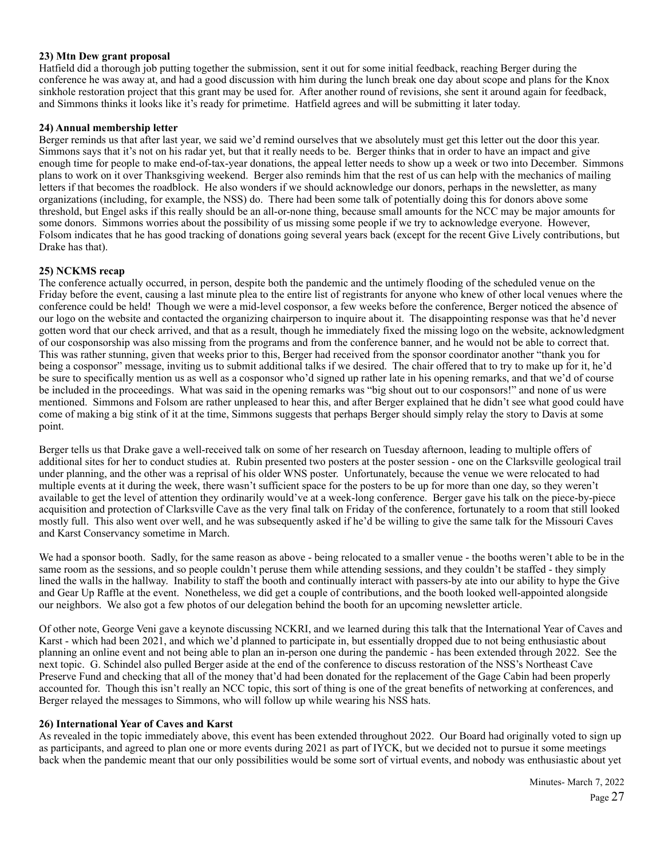# **23) Mtn Dew grant proposal**

Hatfield did a thorough job putting together the submission, sent it out for some initial feedback, reaching Berger during the conference he was away at, and had a good discussion with him during the lunch break one day about scope and plans for the Knox sinkhole restoration project that this grant may be used for. After another round of revisions, she sent it around again for feedback, and Simmons thinks it looks like it's ready for primetime. Hatfield agrees and will be submitting it later today.

# **24) Annual membership letter**

Berger reminds us that after last year, we said we'd remind ourselves that we absolutely must get this letter out the door this year. Simmons says that it's not on his radar yet, but that it really needs to be. Berger thinks that in order to have an impact and give enough time for people to make end-of-tax-year donations, the appeal letter needs to show up a week or two into December. Simmons plans to work on it over Thanksgiving weekend. Berger also reminds him that the rest of us can help with the mechanics of mailing letters if that becomes the roadblock. He also wonders if we should acknowledge our donors, perhaps in the newsletter, as many organizations (including, for example, the NSS) do. There had been some talk of potentially doing this for donors above some threshold, but Engel asks if this really should be an all-or-none thing, because small amounts for the NCC may be major amounts for some donors. Simmons worries about the possibility of us missing some people if we try to acknowledge everyone. However, Folsom indicates that he has good tracking of donations going several years back (except for the recent Give Lively contributions, but Drake has that).

### **25) NCKMS recap**

The conference actually occurred, in person, despite both the pandemic and the untimely flooding of the scheduled venue on the Friday before the event, causing a last minute plea to the entire list of registrants for anyone who knew of other local venues where the conference could be held! Though we were a mid-level cosponsor, a few weeks before the conference, Berger noticed the absence of our logo on the website and contacted the organizing chairperson to inquire about it. The disappointing response was that he'd never gotten word that our check arrived, and that as a result, though he immediately fixed the missing logo on the website, acknowledgment of our cosponsorship was also missing from the programs and from the conference banner, and he would not be able to correct that. This was rather stunning, given that weeks prior to this, Berger had received from the sponsor coordinator another "thank you for being a cosponsor" message, inviting us to submit additional talks if we desired. The chair offered that to try to make up for it, he'd be sure to specifically mention us as well as a cosponsor who'd signed up rather late in his opening remarks, and that we'd of course be included in the proceedings. What was said in the opening remarks was "big shout out to our cosponsors!" and none of us were mentioned. Simmons and Folsom are rather unpleased to hear this, and after Berger explained that he didn't see what good could have come of making a big stink of it at the time, Simmons suggests that perhaps Berger should simply relay the story to Davis at some point.

Berger tells us that Drake gave a well-received talk on some of her research on Tuesday afternoon, leading to multiple offers of additional sites for her to conduct studies at. Rubin presented two posters at the poster session - one on the Clarksville geological trail under planning, and the other was a reprisal of his older WNS poster. Unfortunately, because the venue we were relocated to had multiple events at it during the week, there wasn't sufficient space for the posters to be up for more than one day, so they weren't available to get the level of attention they ordinarily would've at a week-long conference. Berger gave his talk on the piece-by-piece acquisition and protection of Clarksville Cave as the very final talk on Friday of the conference, fortunately to a room that still looked mostly full. This also went over well, and he was subsequently asked if he'd be willing to give the same talk for the Missouri Caves and Karst Conservancy sometime in March.

We had a sponsor booth. Sadly, for the same reason as above - being relocated to a smaller venue - the booths weren't able to be in the same room as the sessions, and so people couldn't peruse them while attending sessions, and they couldn't be staffed - they simply lined the walls in the hallway. Inability to staff the booth and continually interact with passers-by ate into our ability to hype the Give and Gear Up Raffle at the event. Nonetheless, we did get a couple of contributions, and the booth looked well-appointed alongside our neighbors. We also got a few photos of our delegation behind the booth for an upcoming newsletter article.

Of other note, George Veni gave a keynote discussing NCKRI, and we learned during this talk that the International Year of Caves and Karst - which had been 2021, and which we'd planned to participate in, but essentially dropped due to not being enthusiastic about planning an online event and not being able to plan an in-person one during the pandemic - has been extended through 2022. See the next topic. G. Schindel also pulled Berger aside at the end of the conference to discuss restoration of the NSS's Northeast Cave Preserve Fund and checking that all of the money that'd had been donated for the replacement of the Gage Cabin had been properly accounted for. Though this isn't really an NCC topic, this sort of thing is one of the great benefits of networking at conferences, and Berger relayed the messages to Simmons, who will follow up while wearing his NSS hats.

# **26) International Year of Caves and Karst**

As revealed in the topic immediately above, this event has been extended throughout 2022. Our Board had originally voted to sign up as participants, and agreed to plan one or more events during 2021 as part of IYCK, but we decided not to pursue it some meetings back when the pandemic meant that our only possibilities would be some sort of virtual events, and nobody was enthusiastic about yet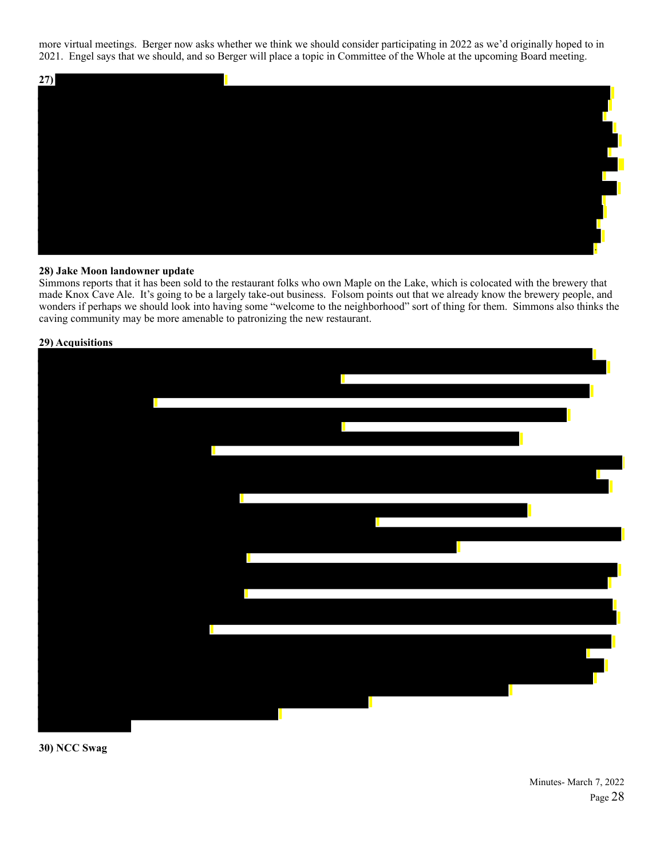more virtual meetings. Berger now asks whether we think we should consider participating in 2022 as we'd originally hoped to in 2021. Engel says that we should, and so Berger will place a topic in Committee of the Whole at the upcoming Board meeting.



### **28) Jake Moon landowner update**

Simmons reports that it has been sold to the restaurant folks who own Maple on the Lake, which is colocated with the brewery that made Knox Cave Ale. It's going to be a largely take-out business. Folsom points out that we already know the brewery people, and wonders if perhaps we should look into having some "welcome to the neighborhood" sort of thing for them. Simmons also thinks the caving community may be more amenable to patronizing the new restaurant.

### **29) Acquisitions**



**30) NCC Swag**